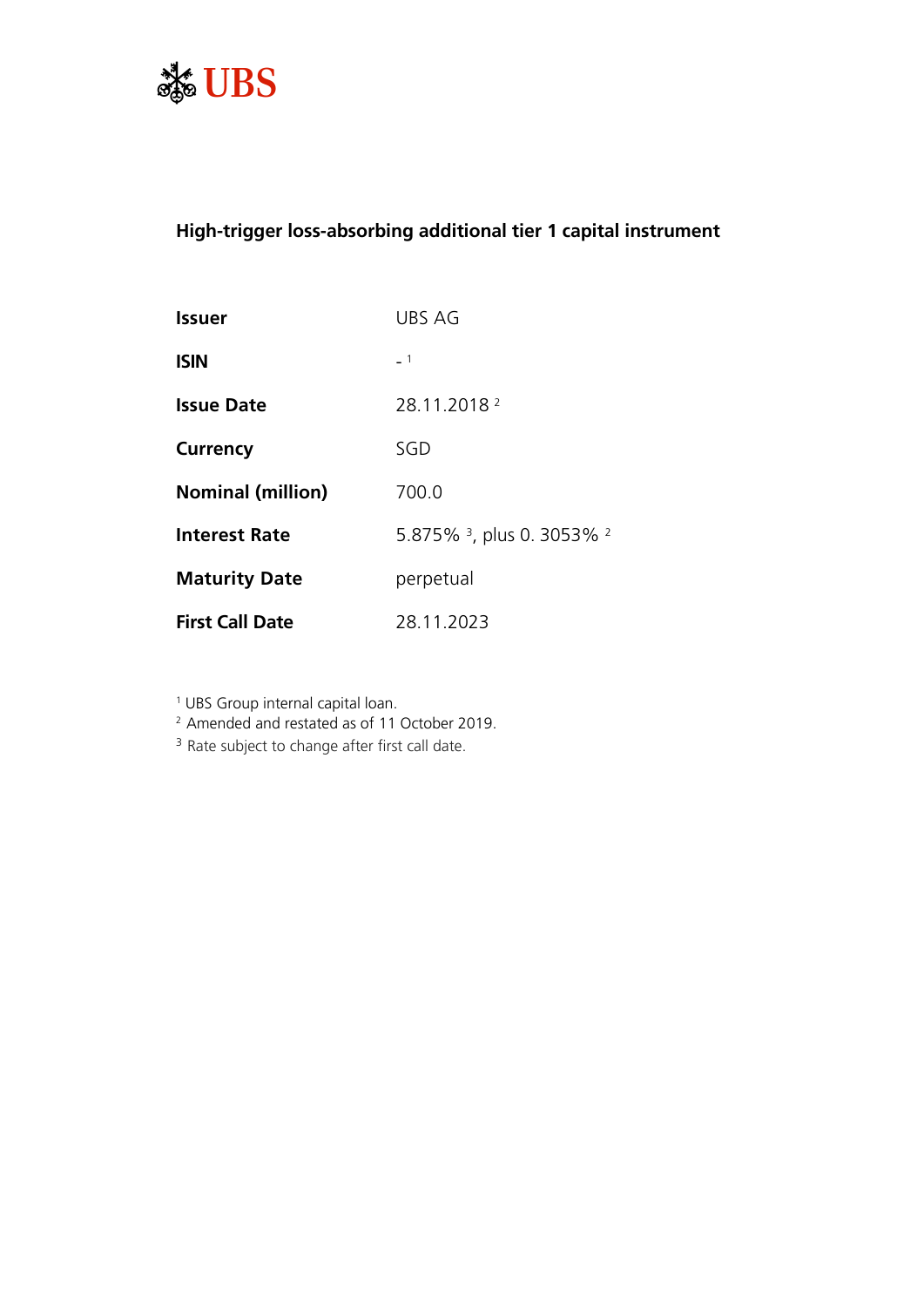

# **High-trigger loss-absorbing additional tier 1 capital instrument**

| <b>Issuer</b>            | UBS AG                                           |
|--------------------------|--------------------------------------------------|
| <b>ISIN</b>              | $-1$                                             |
| <b>Issue Date</b>        | 28.11.2018 2                                     |
| <b>Currency</b>          | SGD                                              |
| <b>Nominal (million)</b> | 700.0                                            |
| <b>Interest Rate</b>     | 5.875% <sup>3</sup> , plus 0. 3053% <sup>2</sup> |
| <b>Maturity Date</b>     | perpetual                                        |
| <b>First Call Date</b>   | 28.11.2023                                       |

1 UBS Group internal capital loan.

<sup>2</sup> Amended and restated as of 11 October 2019.

<sup>3</sup> Rate subject to change after first call date.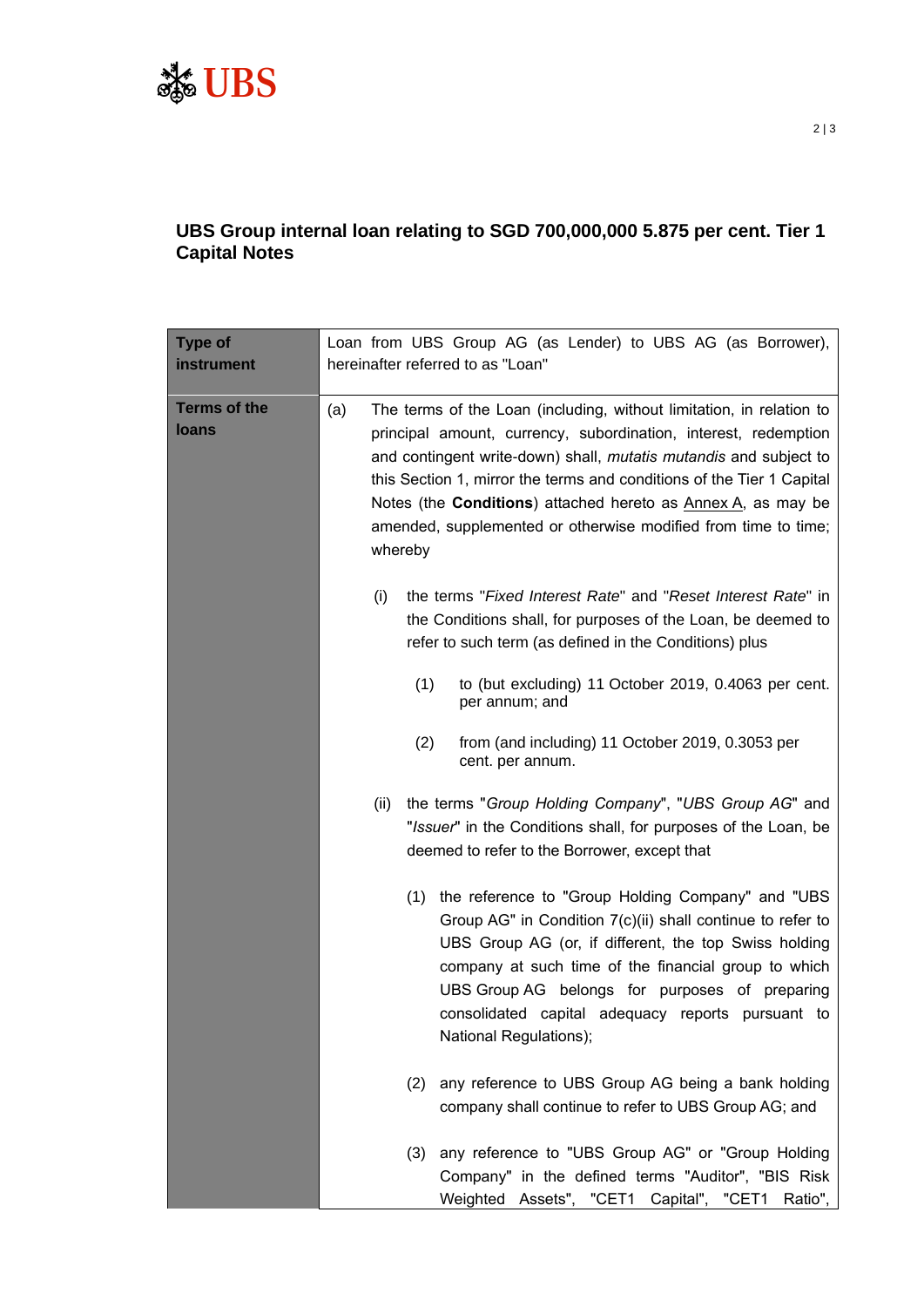

# **UBS Group internal loan relating to SGD 700,000,000 5.875 per cent. Tier 1 Capital Notes**

| <b>Type of</b><br>instrument        | Loan from UBS Group AG (as Lender) to UBS AG (as Borrower),<br>hereinafter referred to as "Loan"                                                                                                                                                                                                                                                                                                                                                  |  |
|-------------------------------------|---------------------------------------------------------------------------------------------------------------------------------------------------------------------------------------------------------------------------------------------------------------------------------------------------------------------------------------------------------------------------------------------------------------------------------------------------|--|
| <b>Terms of the</b><br><b>loans</b> | The terms of the Loan (including, without limitation, in relation to<br>principal amount, currency, subordination, interest, redemption<br>and contingent write-down) shall, <i>mutatis mutandis</i> and subject to<br>this Section 1, mirror the terms and conditions of the Tier 1 Capital<br>Notes (the <b>Conditions</b> ) attached hereto as Annex A, as may be<br>amended, supplemented or otherwise modified from time to time;<br>whereby |  |
|                                     | the terms "Fixed Interest Rate" and "Reset Interest Rate" in<br>(i)<br>the Conditions shall, for purposes of the Loan, be deemed to<br>refer to such term (as defined in the Conditions) plus                                                                                                                                                                                                                                                     |  |
|                                     | (1)<br>to (but excluding) 11 October 2019, 0.4063 per cent.<br>per annum; and                                                                                                                                                                                                                                                                                                                                                                     |  |
|                                     | (2)<br>from (and including) 11 October 2019, 0.3053 per<br>cent. per annum.                                                                                                                                                                                                                                                                                                                                                                       |  |
|                                     | the terms "Group Holding Company", "UBS Group AG" and<br>(ii)<br>"Issuer" in the Conditions shall, for purposes of the Loan, be<br>deemed to refer to the Borrower, except that                                                                                                                                                                                                                                                                   |  |
|                                     | the reference to "Group Holding Company" and "UBS<br>(1)<br>Group AG" in Condition 7(c)(ii) shall continue to refer to<br>UBS Group AG (or, if different, the top Swiss holding<br>company at such time of the financial group to which<br>UBS Group AG belongs for purposes of preparing<br>consolidated capital adequacy reports pursuant to<br>National Regulations);                                                                          |  |
|                                     | any reference to UBS Group AG being a bank holding<br>(2)<br>company shall continue to refer to UBS Group AG; and                                                                                                                                                                                                                                                                                                                                 |  |
|                                     | any reference to "UBS Group AG" or "Group Holding<br>(3)<br>Company" in the defined terms "Auditor", "BIS Risk<br>Weighted Assets", "CET1 Capital", "CET1 Ratio",                                                                                                                                                                                                                                                                                 |  |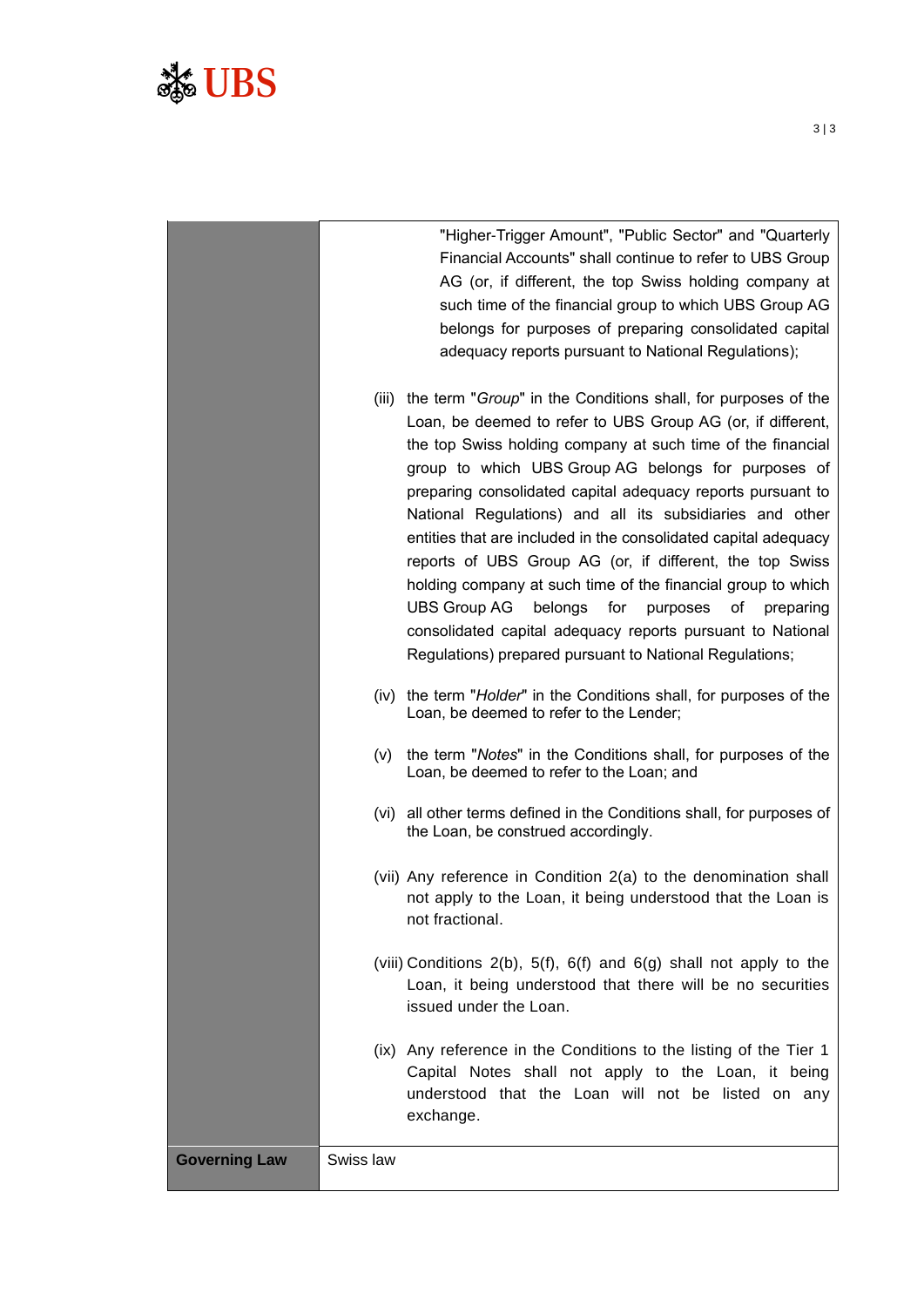# Ste UBS

|                      |           | "Higher-Trigger Amount", "Public Sector" and "Quarterly<br>Financial Accounts" shall continue to refer to UBS Group<br>AG (or, if different, the top Swiss holding company at<br>such time of the financial group to which UBS Group AG<br>belongs for purposes of preparing consolidated capital<br>adequacy reports pursuant to National Regulations);<br>(iii) the term "Group" in the Conditions shall, for purposes of the<br>Loan, be deemed to refer to UBS Group AG (or, if different,<br>the top Swiss holding company at such time of the financial        |
|----------------------|-----------|----------------------------------------------------------------------------------------------------------------------------------------------------------------------------------------------------------------------------------------------------------------------------------------------------------------------------------------------------------------------------------------------------------------------------------------------------------------------------------------------------------------------------------------------------------------------|
|                      |           | group to which UBS Group AG belongs for purposes of<br>preparing consolidated capital adequacy reports pursuant to<br>National Regulations) and all its subsidiaries and other<br>entities that are included in the consolidated capital adequacy<br>reports of UBS Group AG (or, if different, the top Swiss<br>holding company at such time of the financial group to which<br>UBS Group AG<br>belongs for<br>purposes<br>оf<br>preparing<br>consolidated capital adequacy reports pursuant to National<br>Regulations) prepared pursuant to National Regulations; |
|                      |           | (iv) the term "Holder" in the Conditions shall, for purposes of the<br>Loan, be deemed to refer to the Lender;                                                                                                                                                                                                                                                                                                                                                                                                                                                       |
|                      | (v)       | the term "Notes" in the Conditions shall, for purposes of the<br>Loan, be deemed to refer to the Loan; and                                                                                                                                                                                                                                                                                                                                                                                                                                                           |
|                      |           | (vi) all other terms defined in the Conditions shall, for purposes of<br>the Loan, be construed accordingly.                                                                                                                                                                                                                                                                                                                                                                                                                                                         |
|                      |           | (vii) Any reference in Condition 2(a) to the denomination shall<br>not apply to the Loan, it being understood that the Loan is<br>not fractional.                                                                                                                                                                                                                                                                                                                                                                                                                    |
|                      |           | (viii) Conditions 2(b), 5(f), 6(f) and 6(g) shall not apply to the<br>Loan, it being understood that there will be no securities<br>issued under the Loan.                                                                                                                                                                                                                                                                                                                                                                                                           |
|                      |           | (ix) Any reference in the Conditions to the listing of the Tier 1<br>Capital Notes shall not apply to the Loan, it being<br>understood that the Loan will not be listed on any<br>exchange.                                                                                                                                                                                                                                                                                                                                                                          |
| <b>Governing Law</b> | Swiss law |                                                                                                                                                                                                                                                                                                                                                                                                                                                                                                                                                                      |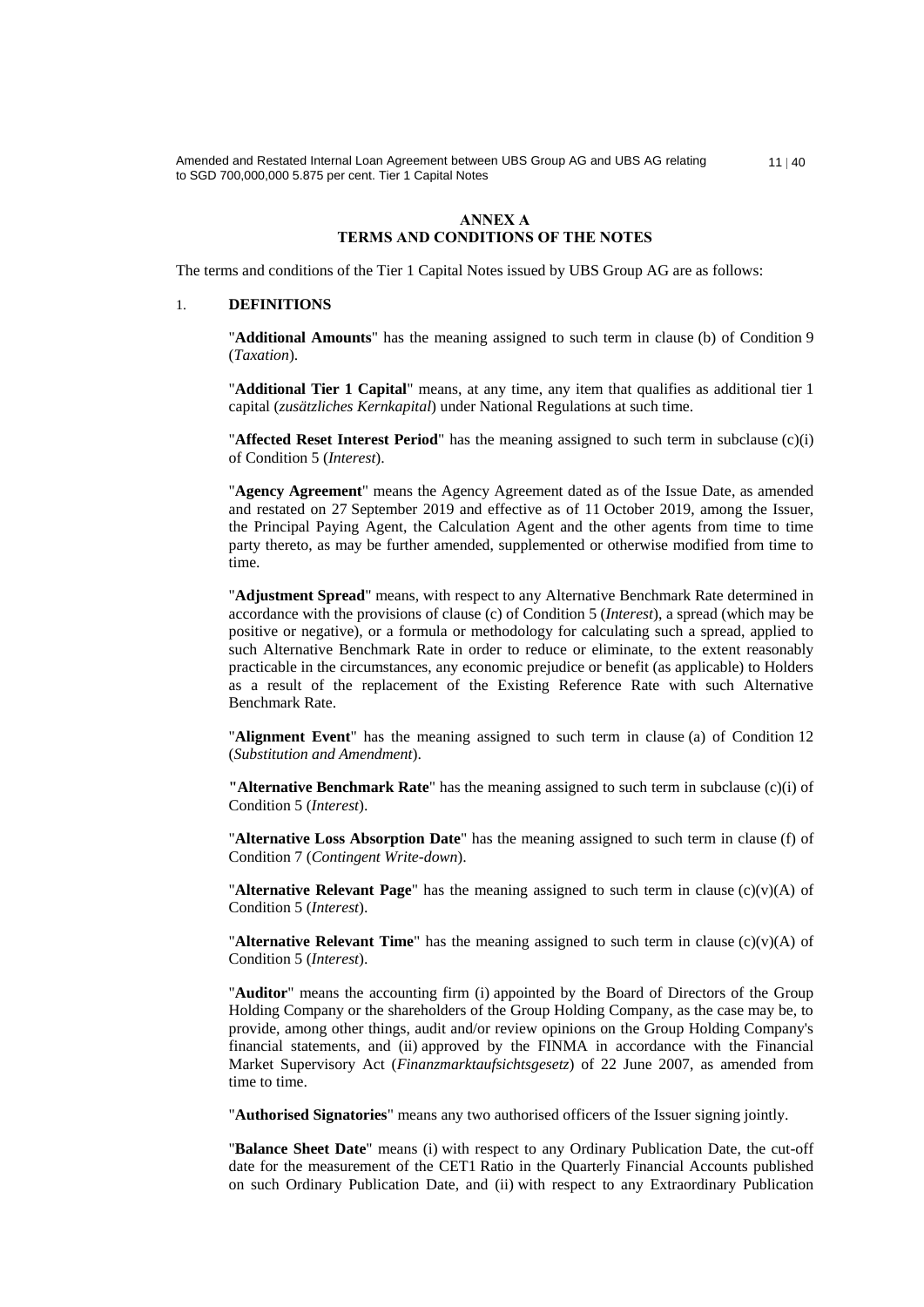# **ANNEX A TERMS AND CONDITIONS OF THE NOTES**

The terms and conditions of the Tier 1 Capital Notes issued by UBS Group AG are as follows:

#### 1. **DEFINITIONS**

"**Additional Amounts**" has the meaning assigned to such term in clause (b) of Condition 9 (*Taxation*).

"**Additional Tier 1 Capital**" means, at any time, any item that qualifies as additional tier 1 capital (*zusätzliches Kernkapital*) under National Regulations at such time.

"**Affected Reset Interest Period**" has the meaning assigned to such term in subclause (c)(i) of Condition 5 (*Interest*).

"**Agency Agreement**" means the Agency Agreement dated as of the Issue Date, as amended and restated on 27 September 2019 and effective as of 11 October 2019, among the Issuer, the Principal Paying Agent, the Calculation Agent and the other agents from time to time party thereto, as may be further amended, supplemented or otherwise modified from time to time.

"**Adjustment Spread**" means, with respect to any Alternative Benchmark Rate determined in accordance with the provisions of clause (c) of Condition 5 (*Interest*), a spread (which may be positive or negative), or a formula or methodology for calculating such a spread, applied to such Alternative Benchmark Rate in order to reduce or eliminate, to the extent reasonably practicable in the circumstances, any economic prejudice or benefit (as applicable) to Holders as a result of the replacement of the Existing Reference Rate with such Alternative Benchmark Rate.

"**Alignment Event**" has the meaning assigned to such term in clause (a) of Condition 12 (*Substitution and Amendment*).

**"Alternative Benchmark Rate**" has the meaning assigned to such term in subclause (c)(i) of Condition 5 (*Interest*).

"**Alternative Loss Absorption Date**" has the meaning assigned to such term in clause (f) of Condition 7 (*Contingent Write-down*).

**"Alternative Relevant Page"** has the meaning assigned to such term in clause  $(c)(v)(A)$  of Condition 5 (*Interest*).

**"Alternative Relevant Time**" has the meaning assigned to such term in clause  $(c)(v)(A)$  of Condition 5 (*Interest*).

"**Auditor**" means the accounting firm (i) appointed by the Board of Directors of the Group Holding Company or the shareholders of the Group Holding Company, as the case may be, to provide, among other things, audit and/or review opinions on the Group Holding Company's financial statements, and (ii) approved by the FINMA in accordance with the Financial Market Supervisory Act (*Finanzmarktaufsichtsgesetz*) of 22 June 2007, as amended from time to time.

"**Authorised Signatories**" means any two authorised officers of the Issuer signing jointly.

"**Balance Sheet Date**" means (i) with respect to any Ordinary Publication Date, the cut-off date for the measurement of the CET1 Ratio in the Quarterly Financial Accounts published on such Ordinary Publication Date, and (ii) with respect to any Extraordinary Publication

 $11 | 40$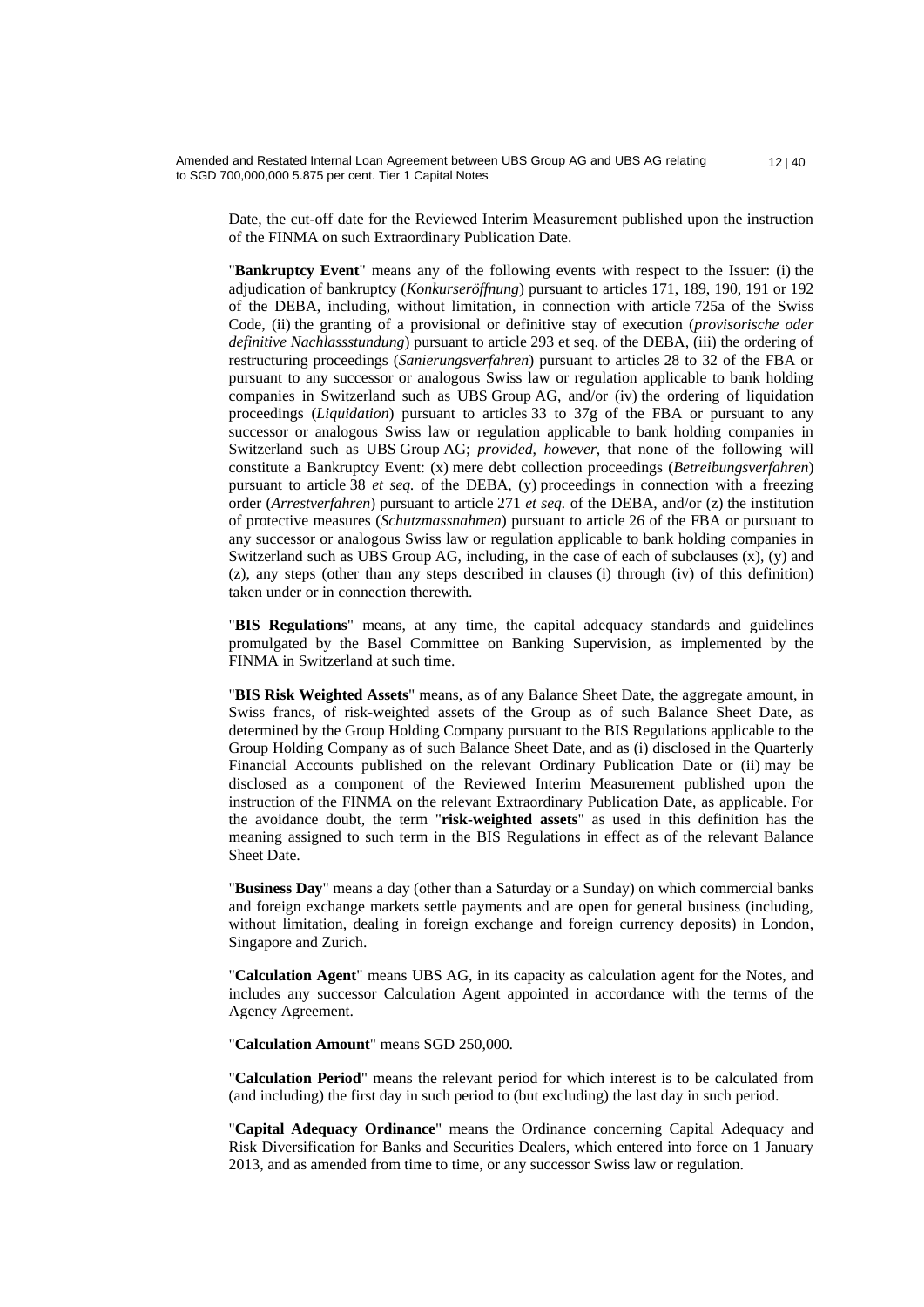Date, the cut-off date for the Reviewed Interim Measurement published upon the instruction of the FINMA on such Extraordinary Publication Date.

 $12 | 40$ 

"**Bankruptcy Event**" means any of the following events with respect to the Issuer: (i) the adjudication of bankruptcy (*Konkurseröffnung*) pursuant to articles 171, 189, 190, 191 or 192 of the DEBA, including, without limitation, in connection with article 725a of the Swiss Code, (ii) the granting of a provisional or definitive stay of execution (*provisorische oder definitive Nachlassstundung*) pursuant to article 293 et seq. of the DEBA, (iii) the ordering of restructuring proceedings (*Sanierungsverfahren*) pursuant to articles 28 to 32 of the FBA or pursuant to any successor or analogous Swiss law or regulation applicable to bank holding companies in Switzerland such as UBS Group AG, and/or (iv) the ordering of liquidation proceedings (*Liquidation*) pursuant to articles 33 to 37g of the FBA or pursuant to any successor or analogous Swiss law or regulation applicable to bank holding companies in Switzerland such as UBS Group AG; *provided*, *however*, that none of the following will constitute a Bankruptcy Event: (x) mere debt collection proceedings (*Betreibungsverfahren*) pursuant to article 38 *et seq.* of the DEBA, (y) proceedings in connection with a freezing order (*Arrestverfahren*) pursuant to article 271 *et seq.* of the DEBA, and/or (z) the institution of protective measures (*Schutzmassnahmen*) pursuant to article 26 of the FBA or pursuant to any successor or analogous Swiss law or regulation applicable to bank holding companies in Switzerland such as UBS Group AG, including, in the case of each of subclauses  $(x)$ ,  $(y)$  and (z), any steps (other than any steps described in clauses (i) through (iv) of this definition) taken under or in connection therewith.

"**BIS Regulations**" means, at any time, the capital adequacy standards and guidelines promulgated by the Basel Committee on Banking Supervision, as implemented by the FINMA in Switzerland at such time.

"**BIS Risk Weighted Assets**" means, as of any Balance Sheet Date, the aggregate amount, in Swiss francs, of risk-weighted assets of the Group as of such Balance Sheet Date, as determined by the Group Holding Company pursuant to the BIS Regulations applicable to the Group Holding Company as of such Balance Sheet Date, and as (i) disclosed in the Quarterly Financial Accounts published on the relevant Ordinary Publication Date or (ii) may be disclosed as a component of the Reviewed Interim Measurement published upon the instruction of the FINMA on the relevant Extraordinary Publication Date, as applicable. For the avoidance doubt, the term "**risk-weighted assets**" as used in this definition has the meaning assigned to such term in the BIS Regulations in effect as of the relevant Balance Sheet Date.

"**Business Day**" means a day (other than a Saturday or a Sunday) on which commercial banks and foreign exchange markets settle payments and are open for general business (including, without limitation, dealing in foreign exchange and foreign currency deposits) in London, Singapore and Zurich.

"**Calculation Agent**" means UBS AG, in its capacity as calculation agent for the Notes, and includes any successor Calculation Agent appointed in accordance with the terms of the Agency Agreement.

"**Calculation Amount**" means SGD 250,000.

"**Calculation Period**" means the relevant period for which interest is to be calculated from (and including) the first day in such period to (but excluding) the last day in such period.

"**Capital Adequacy Ordinance**" means the Ordinance concerning Capital Adequacy and Risk Diversification for Banks and Securities Dealers, which entered into force on 1 January 2013, and as amended from time to time, or any successor Swiss law or regulation.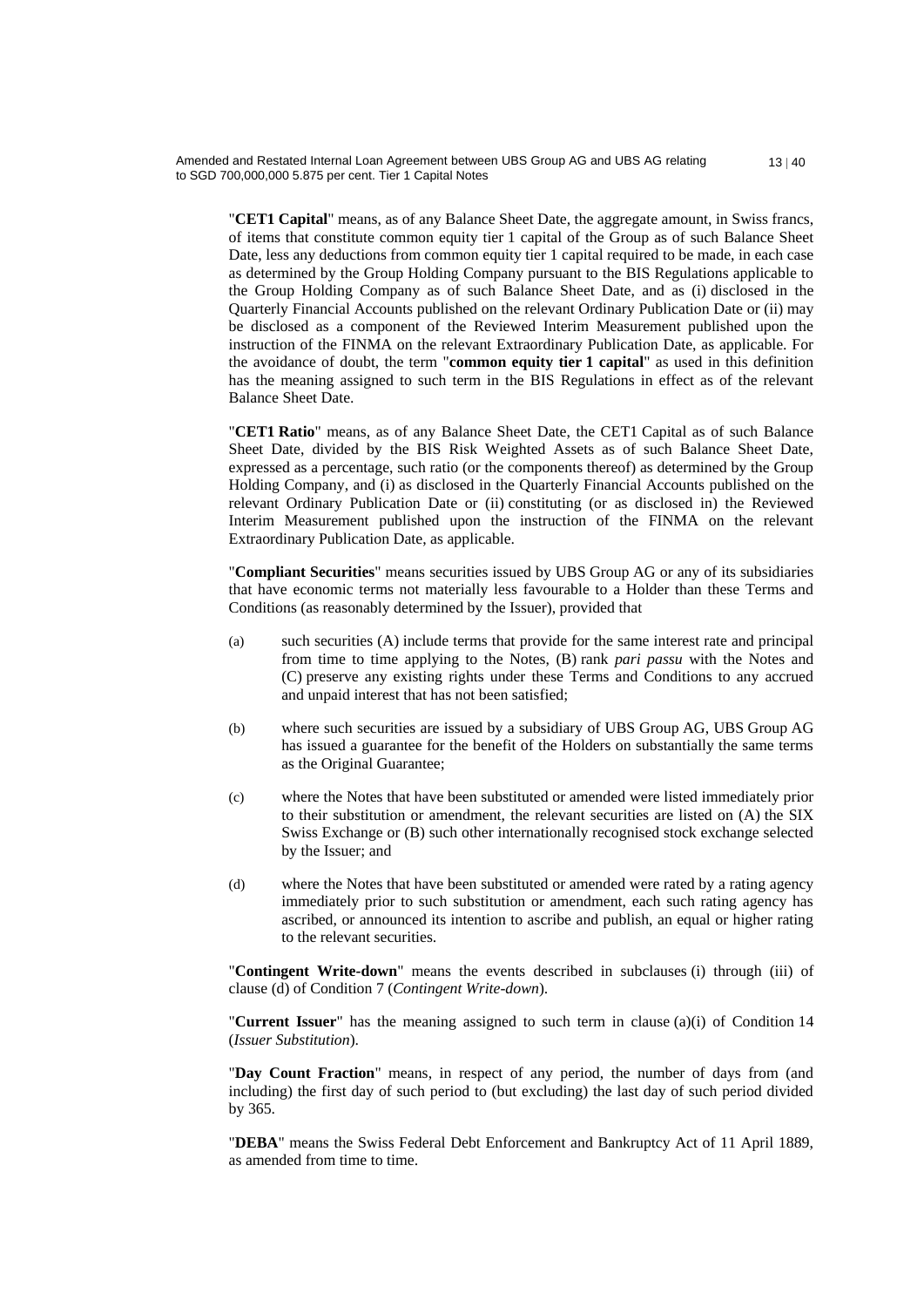"**CET1 Capital**" means, as of any Balance Sheet Date, the aggregate amount, in Swiss francs, of items that constitute common equity tier 1 capital of the Group as of such Balance Sheet Date, less any deductions from common equity tier 1 capital required to be made, in each case as determined by the Group Holding Company pursuant to the BIS Regulations applicable to the Group Holding Company as of such Balance Sheet Date, and as (i) disclosed in the Quarterly Financial Accounts published on the relevant Ordinary Publication Date or (ii) may be disclosed as a component of the Reviewed Interim Measurement published upon the instruction of the FINMA on the relevant Extraordinary Publication Date, as applicable. For the avoidance of doubt, the term "**common equity tier 1 capital**" as used in this definition has the meaning assigned to such term in the BIS Regulations in effect as of the relevant Balance Sheet Date.

"**CET1 Ratio**" means, as of any Balance Sheet Date, the CET1 Capital as of such Balance Sheet Date, divided by the BIS Risk Weighted Assets as of such Balance Sheet Date, expressed as a percentage, such ratio (or the components thereof) as determined by the Group Holding Company, and (i) as disclosed in the Quarterly Financial Accounts published on the relevant Ordinary Publication Date or (ii) constituting (or as disclosed in) the Reviewed Interim Measurement published upon the instruction of the FINMA on the relevant Extraordinary Publication Date, as applicable.

"**Compliant Securities**" means securities issued by UBS Group AG or any of its subsidiaries that have economic terms not materially less favourable to a Holder than these Terms and Conditions (as reasonably determined by the Issuer), provided that

- (a) such securities (A) include terms that provide for the same interest rate and principal from time to time applying to the Notes, (B) rank *pari passu* with the Notes and (C) preserve any existing rights under these Terms and Conditions to any accrued and unpaid interest that has not been satisfied;
- (b) where such securities are issued by a subsidiary of UBS Group AG, UBS Group AG has issued a guarantee for the benefit of the Holders on substantially the same terms as the Original Guarantee;
- (c) where the Notes that have been substituted or amended were listed immediately prior to their substitution or amendment, the relevant securities are listed on (A) the SIX Swiss Exchange or (B) such other internationally recognised stock exchange selected by the Issuer; and
- (d) where the Notes that have been substituted or amended were rated by a rating agency immediately prior to such substitution or amendment, each such rating agency has ascribed, or announced its intention to ascribe and publish, an equal or higher rating to the relevant securities.

"**Contingent Write-down**" means the events described in subclauses (i) through (iii) of clause (d) of Condition 7 (*Contingent Write-down*).

"**Current Issuer**" has the meaning assigned to such term in clause (a)(i) of Condition 14 (*Issuer Substitution*).

"**Day Count Fraction**" means, in respect of any period, the number of days from (and including) the first day of such period to (but excluding) the last day of such period divided by 365.

"**DEBA**" means the Swiss Federal Debt Enforcement and Bankruptcy Act of 11 April 1889, as amended from time to time.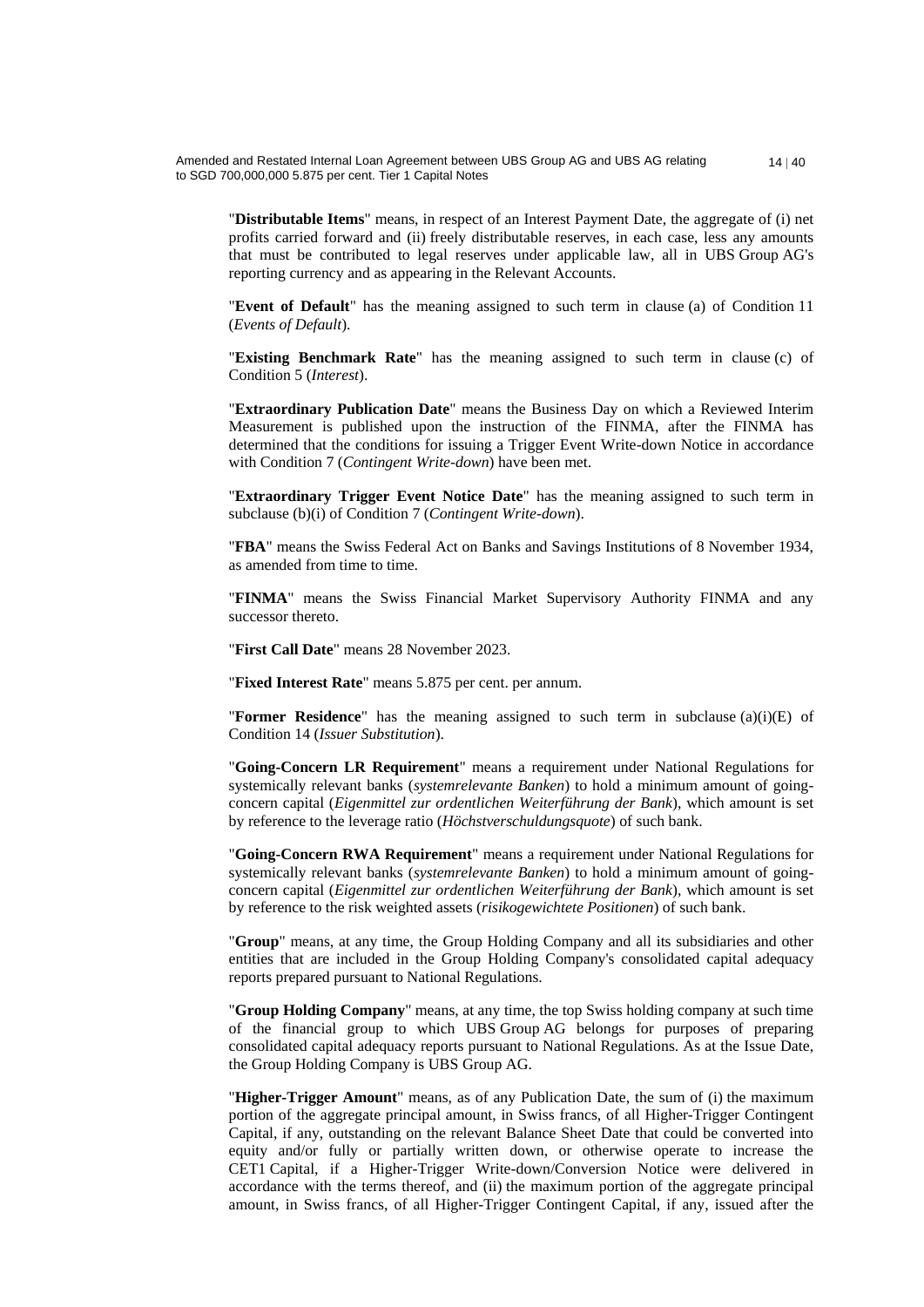"**Distributable Items**" means, in respect of an Interest Payment Date, the aggregate of (i) net profits carried forward and (ii) freely distributable reserves, in each case, less any amounts that must be contributed to legal reserves under applicable law, all in UBS Group AG's reporting currency and as appearing in the Relevant Accounts.

"**Event of Default**" has the meaning assigned to such term in clause (a) of Condition 11 (*Events of Default*).

"**Existing Benchmark Rate**" has the meaning assigned to such term in clause (c) of Condition 5 (*Interest*).

"**Extraordinary Publication Date**" means the Business Day on which a Reviewed Interim Measurement is published upon the instruction of the FINMA, after the FINMA has determined that the conditions for issuing a Trigger Event Write-down Notice in accordance with Condition 7 (*Contingent Write-down*) have been met.

"**Extraordinary Trigger Event Notice Date**" has the meaning assigned to such term in subclause (b)(i) of Condition 7 (*Contingent Write-down*).

"**FBA**" means the Swiss Federal Act on Banks and Savings Institutions of 8 November 1934, as amended from time to time.

"**FINMA**" means the Swiss Financial Market Supervisory Authority FINMA and any successor thereto.

"**First Call Date**" means 28 November 2023.

"**Fixed Interest Rate**" means 5.875 per cent. per annum.

"**Former Residence**" has the meaning assigned to such term in subclause (a)(i)(E) of Condition 14 (*Issuer Substitution*).

"**Going-Concern LR Requirement**" means a requirement under National Regulations for systemically relevant banks (*systemrelevante Banken*) to hold a minimum amount of goingconcern capital (*Eigenmittel zur ordentlichen Weiterführung der Bank*), which amount is set by reference to the leverage ratio (*Höchstverschuldungsquote*) of such bank.

"**Going-Concern RWA Requirement**" means a requirement under National Regulations for systemically relevant banks (*systemrelevante Banken*) to hold a minimum amount of goingconcern capital (*Eigenmittel zur ordentlichen Weiterführung der Bank*), which amount is set by reference to the risk weighted assets (*risikogewichtete Positionen*) of such bank.

"**Group**" means, at any time, the Group Holding Company and all its subsidiaries and other entities that are included in the Group Holding Company's consolidated capital adequacy reports prepared pursuant to National Regulations.

"**Group Holding Company**" means, at any time, the top Swiss holding company at such time of the financial group to which UBS Group AG belongs for purposes of preparing consolidated capital adequacy reports pursuant to National Regulations. As at the Issue Date, the Group Holding Company is UBS Group AG.

"**Higher-Trigger Amount**" means, as of any Publication Date, the sum of (i) the maximum portion of the aggregate principal amount, in Swiss francs, of all Higher-Trigger Contingent Capital, if any, outstanding on the relevant Balance Sheet Date that could be converted into equity and/or fully or partially written down, or otherwise operate to increase the CET1 Capital, if a Higher-Trigger Write-down/Conversion Notice were delivered in accordance with the terms thereof, and (ii) the maximum portion of the aggregate principal amount, in Swiss francs, of all Higher-Trigger Contingent Capital, if any, issued after the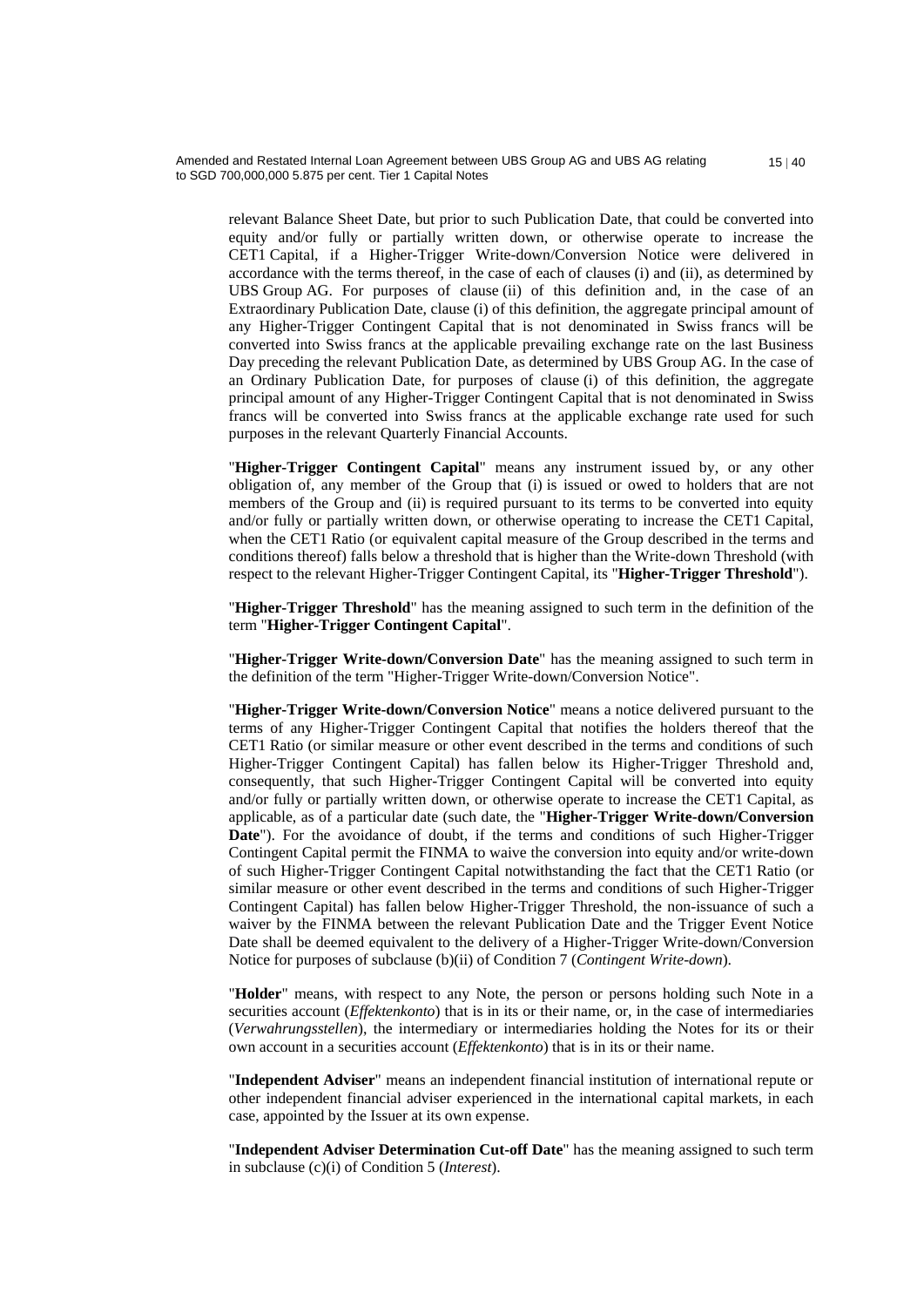relevant Balance Sheet Date, but prior to such Publication Date, that could be converted into equity and/or fully or partially written down, or otherwise operate to increase the CET1 Capital, if a Higher-Trigger Write-down/Conversion Notice were delivered in accordance with the terms thereof, in the case of each of clauses (i) and (ii), as determined by UBS Group AG. For purposes of clause (ii) of this definition and, in the case of an Extraordinary Publication Date, clause (i) of this definition, the aggregate principal amount of any Higher-Trigger Contingent Capital that is not denominated in Swiss francs will be converted into Swiss francs at the applicable prevailing exchange rate on the last Business Day preceding the relevant Publication Date, as determined by UBS Group AG. In the case of an Ordinary Publication Date, for purposes of clause (i) of this definition, the aggregate principal amount of any Higher-Trigger Contingent Capital that is not denominated in Swiss francs will be converted into Swiss francs at the applicable exchange rate used for such purposes in the relevant Quarterly Financial Accounts.

"**Higher-Trigger Contingent Capital**" means any instrument issued by, or any other obligation of, any member of the Group that (i) is issued or owed to holders that are not members of the Group and (ii) is required pursuant to its terms to be converted into equity and/or fully or partially written down, or otherwise operating to increase the CET1 Capital, when the CET1 Ratio (or equivalent capital measure of the Group described in the terms and conditions thereof) falls below a threshold that is higher than the Write-down Threshold (with respect to the relevant Higher-Trigger Contingent Capital, its "**Higher-Trigger Threshold**").

"**Higher-Trigger Threshold**" has the meaning assigned to such term in the definition of the term "**Higher-Trigger Contingent Capital**".

"**Higher-Trigger Write-down/Conversion Date**" has the meaning assigned to such term in the definition of the term "Higher-Trigger Write-down/Conversion Notice".

"**Higher-Trigger Write-down/Conversion Notice**" means a notice delivered pursuant to the terms of any Higher-Trigger Contingent Capital that notifies the holders thereof that the CET1 Ratio (or similar measure or other event described in the terms and conditions of such Higher-Trigger Contingent Capital) has fallen below its Higher-Trigger Threshold and, consequently, that such Higher-Trigger Contingent Capital will be converted into equity and/or fully or partially written down, or otherwise operate to increase the CET1 Capital, as applicable, as of a particular date (such date, the "**Higher-Trigger Write-down/Conversion Date**"). For the avoidance of doubt, if the terms and conditions of such Higher-Trigger Contingent Capital permit the FINMA to waive the conversion into equity and/or write-down of such Higher-Trigger Contingent Capital notwithstanding the fact that the CET1 Ratio (or similar measure or other event described in the terms and conditions of such Higher-Trigger Contingent Capital) has fallen below Higher-Trigger Threshold, the non-issuance of such a waiver by the FINMA between the relevant Publication Date and the Trigger Event Notice Date shall be deemed equivalent to the delivery of a Higher-Trigger Write-down/Conversion Notice for purposes of subclause (b)(ii) of Condition 7 (*Contingent Write-down*).

"**Holder**" means, with respect to any Note, the person or persons holding such Note in a securities account (*Effektenkonto*) that is in its or their name, or, in the case of intermediaries (*Verwahrungsstellen*), the intermediary or intermediaries holding the Notes for its or their own account in a securities account (*Effektenkonto*) that is in its or their name.

"**Independent Adviser**" means an independent financial institution of international repute or other independent financial adviser experienced in the international capital markets, in each case, appointed by the Issuer at its own expense.

"**Independent Adviser Determination Cut-off Date**" has the meaning assigned to such term in subclause (c)(i) of Condition 5 (*Interest*).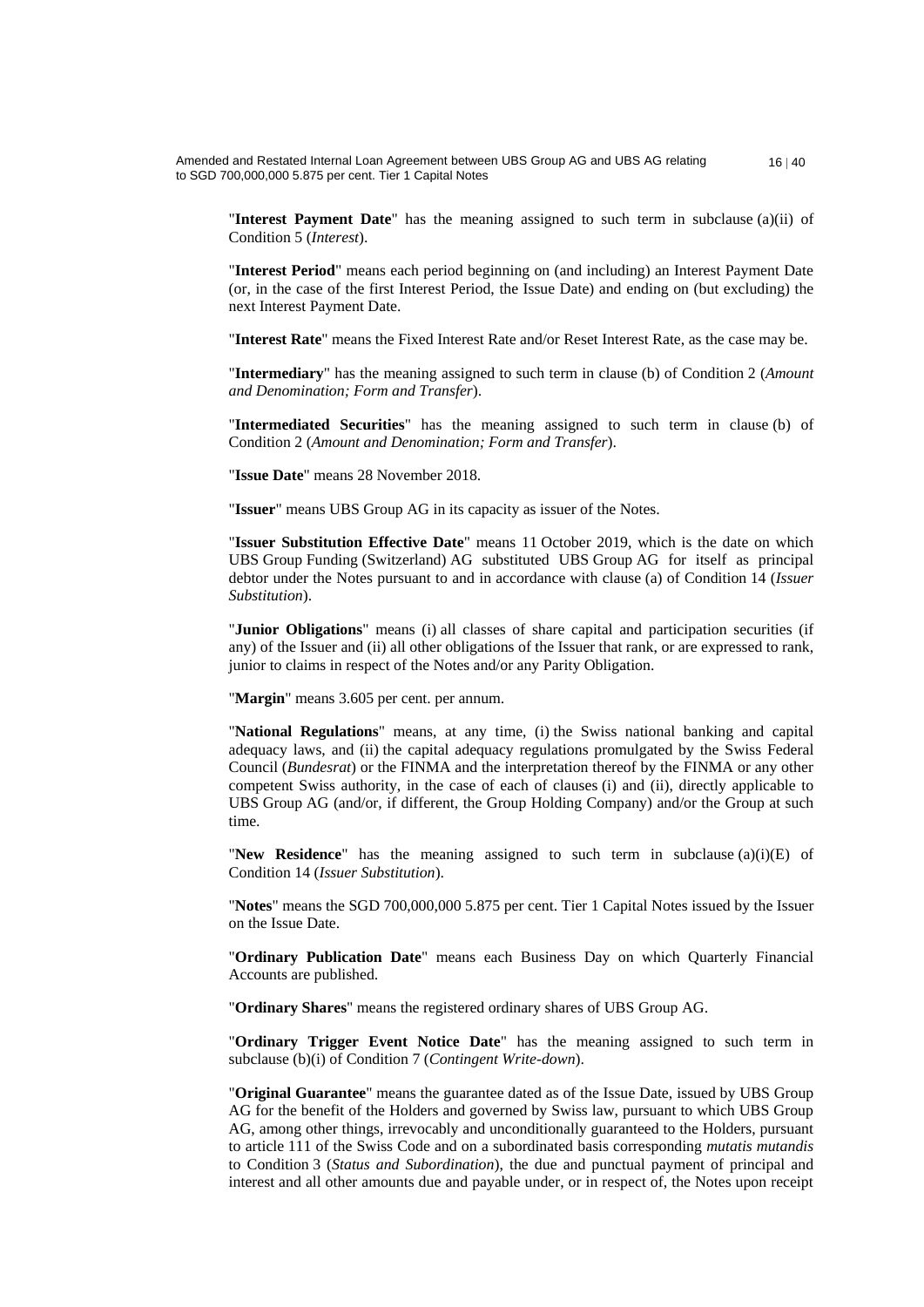"**Interest Payment Date**" has the meaning assigned to such term in subclause (a)(ii) of Condition 5 (*Interest*).

"**Interest Period**" means each period beginning on (and including) an Interest Payment Date (or, in the case of the first Interest Period, the Issue Date) and ending on (but excluding) the next Interest Payment Date.

"**Interest Rate**" means the Fixed Interest Rate and/or Reset Interest Rate, as the case may be.

"**Intermediary**" has the meaning assigned to such term in clause (b) of Condition 2 (*Amount and Denomination; Form and Transfer*).

"**Intermediated Securities**" has the meaning assigned to such term in clause (b) of Condition 2 (*Amount and Denomination; Form and Transfer*).

"**Issue Date**" means 28 November 2018.

"**Issuer**" means UBS Group AG in its capacity as issuer of the Notes.

"**Issuer Substitution Effective Date**" means 11 October 2019, which is the date on which UBS Group Funding (Switzerland) AG substituted UBS Group AG for itself as principal debtor under the Notes pursuant to and in accordance with clause (a) of Condition 14 (*Issuer Substitution*).

"**Junior Obligations**" means (i) all classes of share capital and participation securities (if any) of the Issuer and (ii) all other obligations of the Issuer that rank, or are expressed to rank, junior to claims in respect of the Notes and/or any Parity Obligation.

"**Margin**" means 3.605 per cent. per annum.

"**National Regulations**" means, at any time, (i) the Swiss national banking and capital adequacy laws, and (ii) the capital adequacy regulations promulgated by the Swiss Federal Council (*Bundesrat*) or the FINMA and the interpretation thereof by the FINMA or any other competent Swiss authority, in the case of each of clauses (i) and (ii), directly applicable to UBS Group AG (and/or, if different, the Group Holding Company) and/or the Group at such time.

"**New Residence**" has the meaning assigned to such term in subclause (a)(i)(E) of Condition 14 (*Issuer Substitution*).

"**Notes**" means the SGD 700,000,000 5.875 per cent. Tier 1 Capital Notes issued by the Issuer on the Issue Date.

"**Ordinary Publication Date**" means each Business Day on which Quarterly Financial Accounts are published.

"**Ordinary Shares**" means the registered ordinary shares of UBS Group AG.

"**Ordinary Trigger Event Notice Date**" has the meaning assigned to such term in subclause (b)(i) of Condition 7 (*Contingent Write-down*).

"**Original Guarantee**" means the guarantee dated as of the Issue Date, issued by UBS Group AG for the benefit of the Holders and governed by Swiss law, pursuant to which UBS Group AG, among other things, irrevocably and unconditionally guaranteed to the Holders, pursuant to article 111 of the Swiss Code and on a subordinated basis corresponding *mutatis mutandis* to Condition 3 (*Status and Subordination*), the due and punctual payment of principal and interest and all other amounts due and payable under, or in respect of, the Notes upon receipt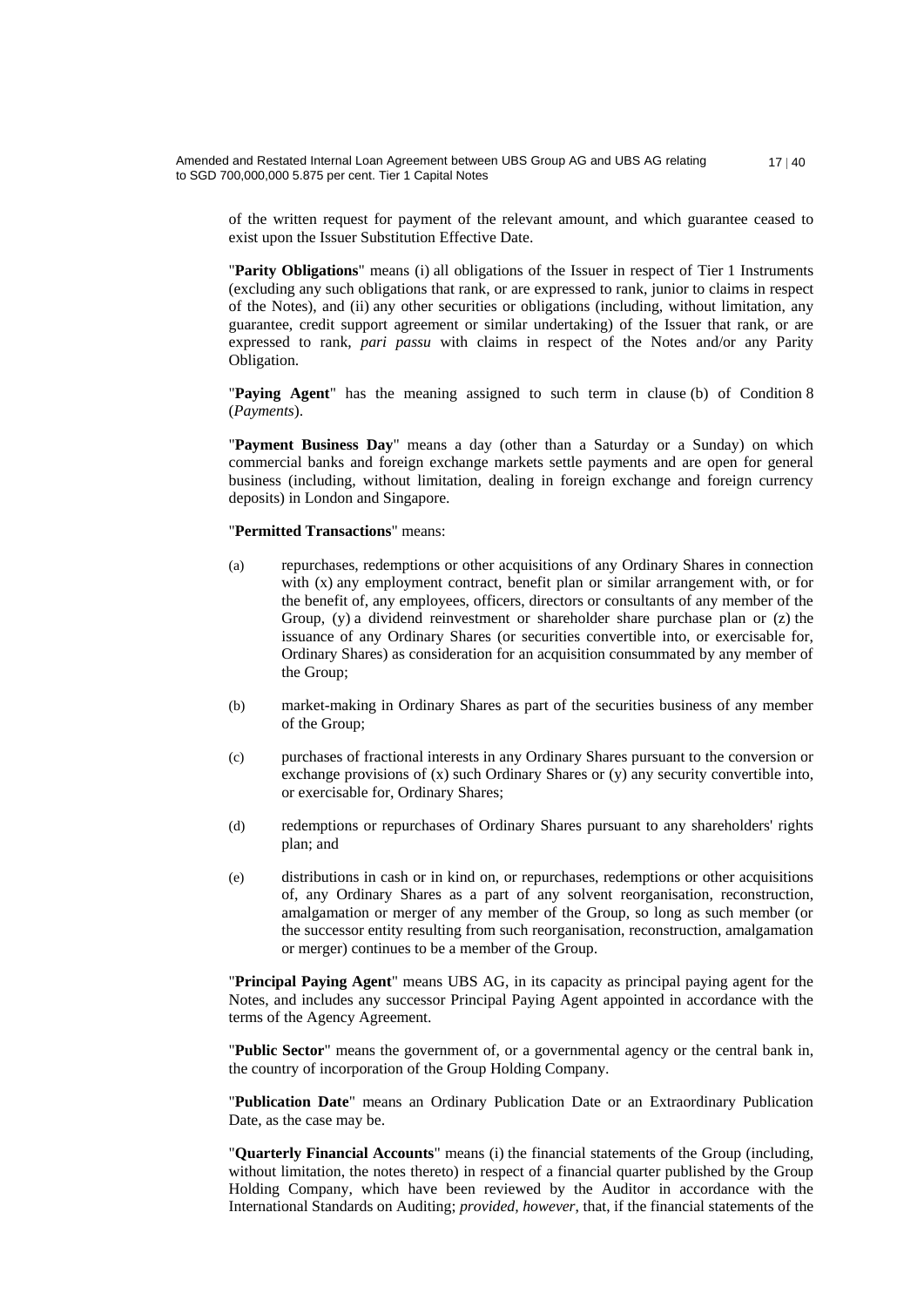of the written request for payment of the relevant amount, and which guarantee ceased to exist upon the Issuer Substitution Effective Date.

"**Parity Obligations**" means (i) all obligations of the Issuer in respect of Tier 1 Instruments (excluding any such obligations that rank, or are expressed to rank, junior to claims in respect of the Notes), and (ii) any other securities or obligations (including, without limitation, any guarantee, credit support agreement or similar undertaking) of the Issuer that rank, or are expressed to rank, *pari passu* with claims in respect of the Notes and/or any Parity Obligation.

"**Paying Agent**" has the meaning assigned to such term in clause (b) of Condition 8 (*Payments*).

"**Payment Business Day**" means a day (other than a Saturday or a Sunday) on which commercial banks and foreign exchange markets settle payments and are open for general business (including, without limitation, dealing in foreign exchange and foreign currency deposits) in London and Singapore.

#### "**Permitted Transactions**" means:

- (a) repurchases, redemptions or other acquisitions of any Ordinary Shares in connection with (x) any employment contract, benefit plan or similar arrangement with, or for the benefit of, any employees, officers, directors or consultants of any member of the Group,  $(y)$  a dividend reinvestment or shareholder share purchase plan or  $(z)$  the issuance of any Ordinary Shares (or securities convertible into, or exercisable for, Ordinary Shares) as consideration for an acquisition consummated by any member of the Group;
- (b) market-making in Ordinary Shares as part of the securities business of any member of the Group;
- (c) purchases of fractional interests in any Ordinary Shares pursuant to the conversion or exchange provisions of (x) such Ordinary Shares or (y) any security convertible into, or exercisable for, Ordinary Shares;
- (d) redemptions or repurchases of Ordinary Shares pursuant to any shareholders' rights plan; and
- (e) distributions in cash or in kind on, or repurchases, redemptions or other acquisitions of, any Ordinary Shares as a part of any solvent reorganisation, reconstruction, amalgamation or merger of any member of the Group, so long as such member (or the successor entity resulting from such reorganisation, reconstruction, amalgamation or merger) continues to be a member of the Group.

"**Principal Paying Agent**" means UBS AG, in its capacity as principal paying agent for the Notes, and includes any successor Principal Paying Agent appointed in accordance with the terms of the Agency Agreement.

"**Public Sector**" means the government of, or a governmental agency or the central bank in, the country of incorporation of the Group Holding Company.

"**Publication Date**" means an Ordinary Publication Date or an Extraordinary Publication Date, as the case may be.

"**Quarterly Financial Accounts**" means (i) the financial statements of the Group (including, without limitation, the notes thereto) in respect of a financial quarter published by the Group Holding Company, which have been reviewed by the Auditor in accordance with the International Standards on Auditing; *provided, however*, that, if the financial statements of the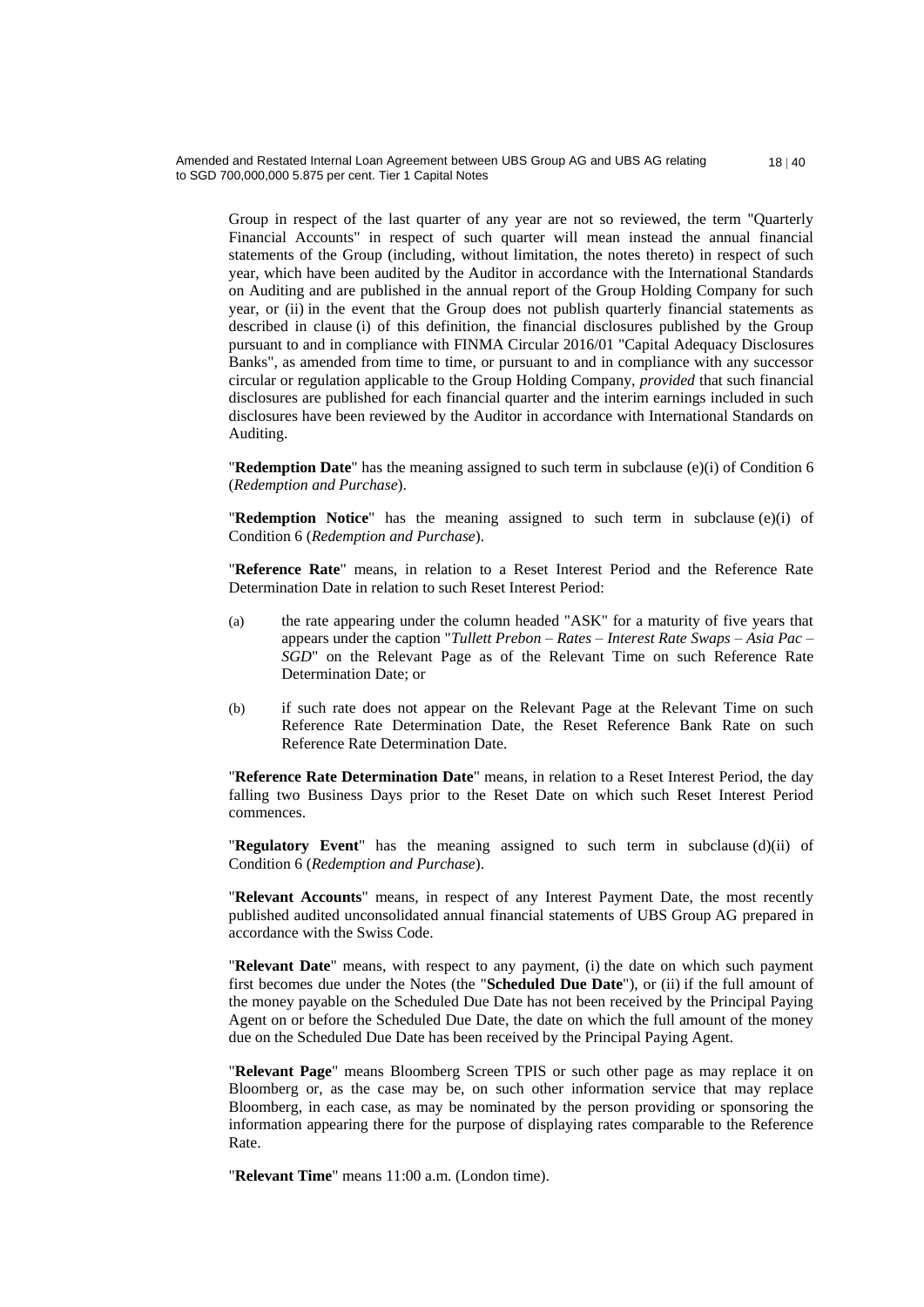Group in respect of the last quarter of any year are not so reviewed, the term "Quarterly Financial Accounts" in respect of such quarter will mean instead the annual financial statements of the Group (including, without limitation, the notes thereto) in respect of such year, which have been audited by the Auditor in accordance with the International Standards on Auditing and are published in the annual report of the Group Holding Company for such year, or (ii) in the event that the Group does not publish quarterly financial statements as described in clause (i) of this definition, the financial disclosures published by the Group pursuant to and in compliance with FINMA Circular 2016/01 "Capital Adequacy Disclosures Banks", as amended from time to time, or pursuant to and in compliance with any successor circular or regulation applicable to the Group Holding Company, *provided* that such financial disclosures are published for each financial quarter and the interim earnings included in such disclosures have been reviewed by the Auditor in accordance with International Standards on Auditing.

"**Redemption Date**" has the meaning assigned to such term in subclause (e)(i) of Condition 6 (*Redemption and Purchase*).

"**Redemption Notice**" has the meaning assigned to such term in subclause (e)(i) of Condition 6 (*Redemption and Purchase*).

"**Reference Rate**" means, in relation to a Reset Interest Period and the Reference Rate Determination Date in relation to such Reset Interest Period:

- (a) the rate appearing under the column headed "ASK" for a maturity of five years that appears under the caption "*Tullett Prebon – Rates – Interest Rate Swaps – Asia Pac – SGD*" on the Relevant Page as of the Relevant Time on such Reference Rate Determination Date; or
- (b) if such rate does not appear on the Relevant Page at the Relevant Time on such Reference Rate Determination Date, the Reset Reference Bank Rate on such Reference Rate Determination Date.

"**Reference Rate Determination Date**" means, in relation to a Reset Interest Period, the day falling two Business Days prior to the Reset Date on which such Reset Interest Period commences.

"**Regulatory Event**" has the meaning assigned to such term in subclause (d)(ii) of Condition 6 (*Redemption and Purchase*).

"**Relevant Accounts**" means, in respect of any Interest Payment Date, the most recently published audited unconsolidated annual financial statements of UBS Group AG prepared in accordance with the Swiss Code.

"**Relevant Date**" means, with respect to any payment, (i) the date on which such payment first becomes due under the Notes (the "**Scheduled Due Date**"), or (ii) if the full amount of the money payable on the Scheduled Due Date has not been received by the Principal Paying Agent on or before the Scheduled Due Date, the date on which the full amount of the money due on the Scheduled Due Date has been received by the Principal Paying Agent.

"**Relevant Page**" means Bloomberg Screen TPIS or such other page as may replace it on Bloomberg or, as the case may be, on such other information service that may replace Bloomberg, in each case, as may be nominated by the person providing or sponsoring the information appearing there for the purpose of displaying rates comparable to the Reference Rate.

"**Relevant Time**" means 11:00 a.m. (London time).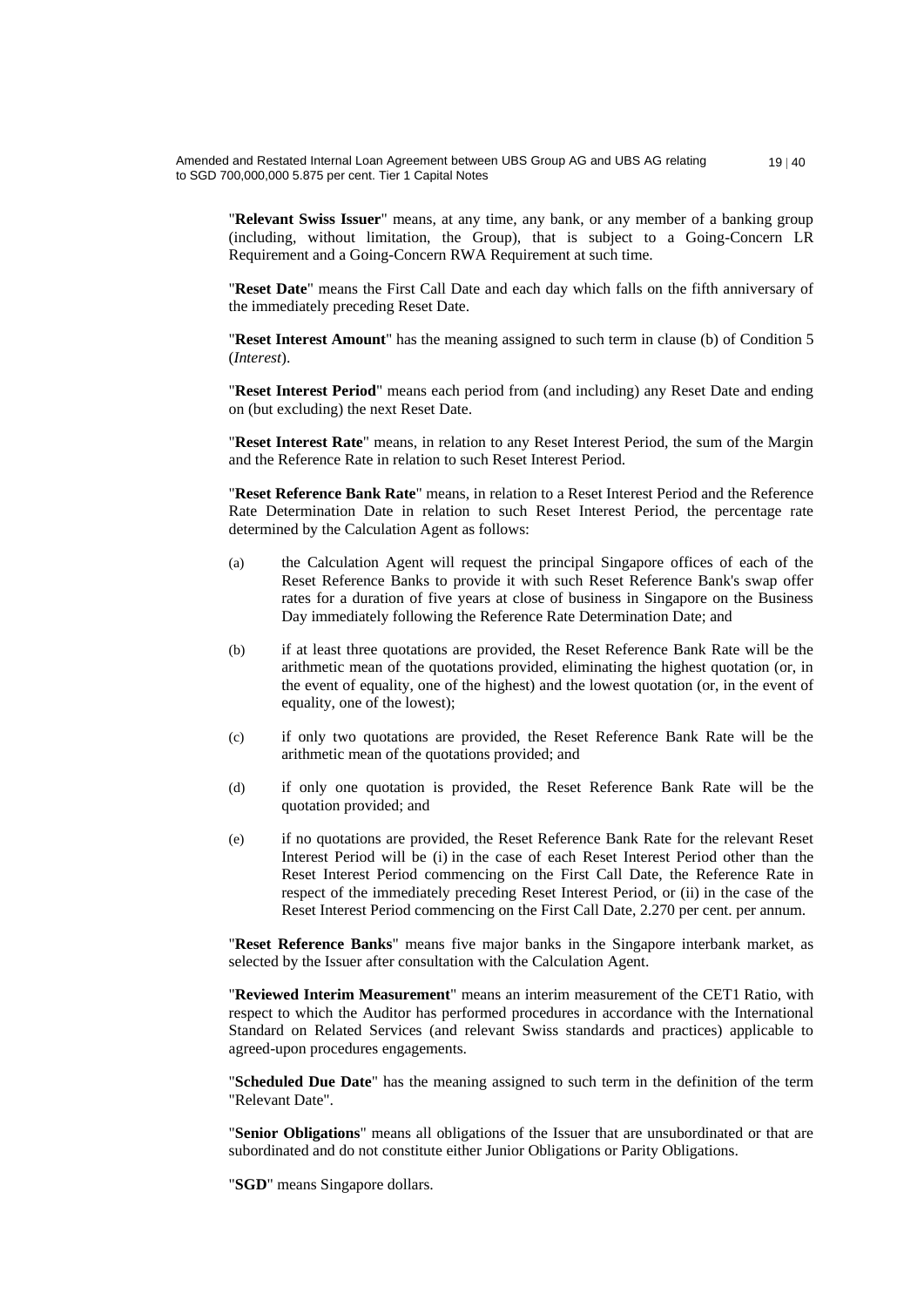"**Relevant Swiss Issuer**" means, at any time, any bank, or any member of a banking group (including, without limitation, the Group), that is subject to a Going-Concern LR Requirement and a Going-Concern RWA Requirement at such time.

"**Reset Date**" means the First Call Date and each day which falls on the fifth anniversary of the immediately preceding Reset Date.

"**Reset Interest Amount**" has the meaning assigned to such term in clause (b) of Condition 5 (*Interest*).

"**Reset Interest Period**" means each period from (and including) any Reset Date and ending on (but excluding) the next Reset Date.

"**Reset Interest Rate**" means, in relation to any Reset Interest Period, the sum of the Margin and the Reference Rate in relation to such Reset Interest Period.

"**Reset Reference Bank Rate**" means, in relation to a Reset Interest Period and the Reference Rate Determination Date in relation to such Reset Interest Period, the percentage rate determined by the Calculation Agent as follows:

- (a) the Calculation Agent will request the principal Singapore offices of each of the Reset Reference Banks to provide it with such Reset Reference Bank's swap offer rates for a duration of five years at close of business in Singapore on the Business Day immediately following the Reference Rate Determination Date; and
- (b) if at least three quotations are provided, the Reset Reference Bank Rate will be the arithmetic mean of the quotations provided, eliminating the highest quotation (or, in the event of equality, one of the highest) and the lowest quotation (or, in the event of equality, one of the lowest);
- (c) if only two quotations are provided, the Reset Reference Bank Rate will be the arithmetic mean of the quotations provided; and
- (d) if only one quotation is provided, the Reset Reference Bank Rate will be the quotation provided; and
- (e) if no quotations are provided, the Reset Reference Bank Rate for the relevant Reset Interest Period will be (i) in the case of each Reset Interest Period other than the Reset Interest Period commencing on the First Call Date, the Reference Rate in respect of the immediately preceding Reset Interest Period, or (ii) in the case of the Reset Interest Period commencing on the First Call Date, 2.270 per cent. per annum.

"**Reset Reference Banks**" means five major banks in the Singapore interbank market, as selected by the Issuer after consultation with the Calculation Agent.

"**Reviewed Interim Measurement**" means an interim measurement of the CET1 Ratio, with respect to which the Auditor has performed procedures in accordance with the International Standard on Related Services (and relevant Swiss standards and practices) applicable to agreed-upon procedures engagements.

"**Scheduled Due Date**" has the meaning assigned to such term in the definition of the term "Relevant Date".

"**Senior Obligations**" means all obligations of the Issuer that are unsubordinated or that are subordinated and do not constitute either Junior Obligations or Parity Obligations.

"**SGD**" means Singapore dollars.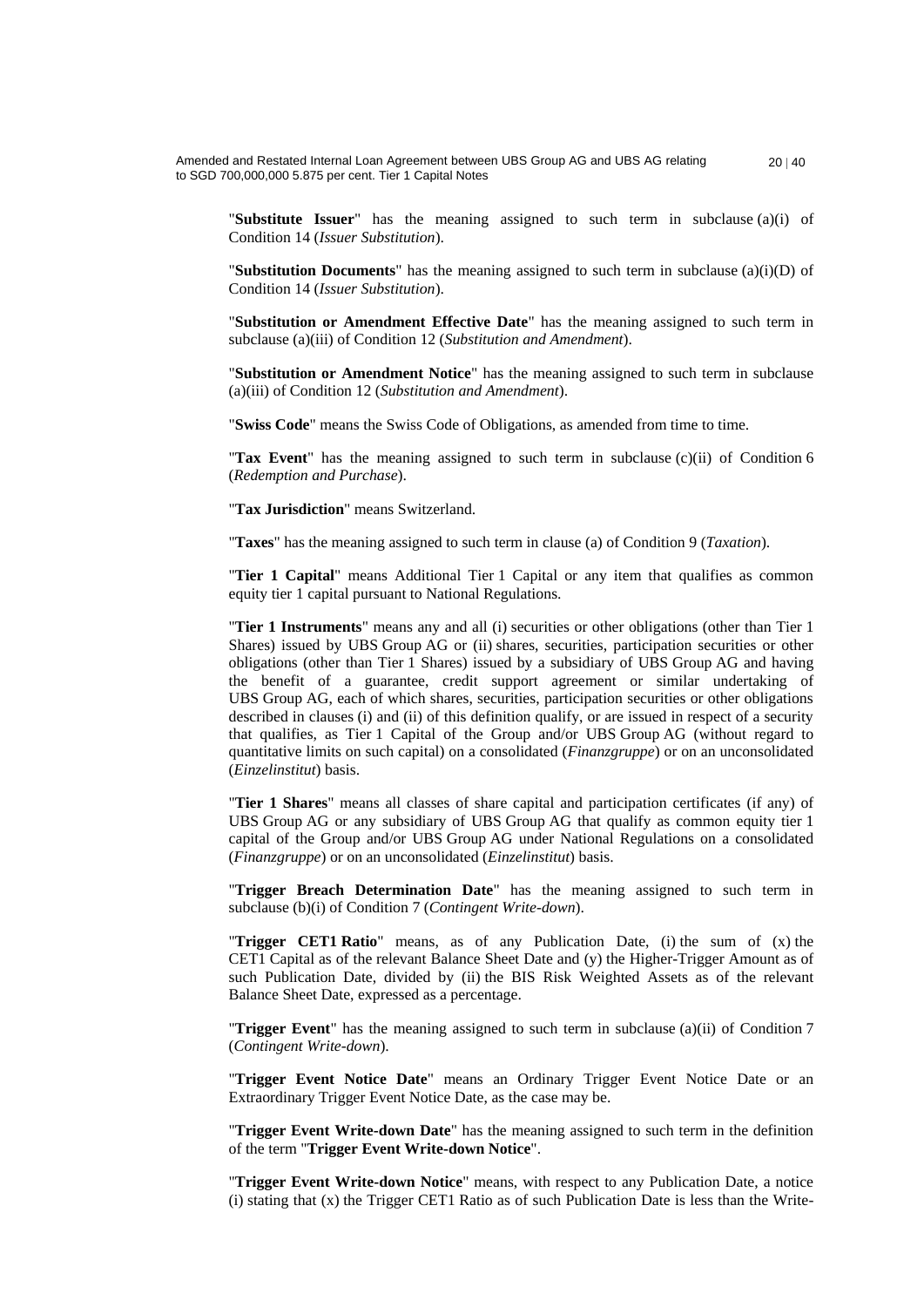"**Substitute Issuer**" has the meaning assigned to such term in subclause (a)(i) of Condition 14 (*Issuer Substitution*).

"**Substitution Documents**" has the meaning assigned to such term in subclause (a)(i)(D) of Condition 14 (*Issuer Substitution*).

"**Substitution or Amendment Effective Date**" has the meaning assigned to such term in subclause (a)(iii) of Condition 12 (*Substitution and Amendment*).

"**Substitution or Amendment Notice**" has the meaning assigned to such term in subclause (a)(iii) of Condition 12 (*Substitution and Amendment*).

"**Swiss Code**" means the Swiss Code of Obligations, as amended from time to time.

"**Tax Event**" has the meaning assigned to such term in subclause (c)(ii) of Condition 6 (*Redemption and Purchase*).

"**Tax Jurisdiction**" means Switzerland.

"**Taxes**" has the meaning assigned to such term in clause (a) of Condition 9 (*Taxation*).

"**Tier 1 Capital**" means Additional Tier 1 Capital or any item that qualifies as common equity tier 1 capital pursuant to National Regulations.

"**Tier 1 Instruments**" means any and all (i) securities or other obligations (other than Tier 1 Shares) issued by UBS Group AG or (ii) shares, securities, participation securities or other obligations (other than Tier 1 Shares) issued by a subsidiary of UBS Group AG and having the benefit of a guarantee, credit support agreement or similar undertaking of UBS Group AG, each of which shares, securities, participation securities or other obligations described in clauses (i) and (ii) of this definition qualify, or are issued in respect of a security that qualifies, as Tier 1 Capital of the Group and/or UBS Group AG (without regard to quantitative limits on such capital) on a consolidated (*Finanzgruppe*) or on an unconsolidated (*Einzelinstitut*) basis.

"**Tier 1 Shares**" means all classes of share capital and participation certificates (if any) of UBS Group AG or any subsidiary of UBS Group AG that qualify as common equity tier 1 capital of the Group and/or UBS Group AG under National Regulations on a consolidated (*Finanzgruppe*) or on an unconsolidated (*Einzelinstitut*) basis.

"**Trigger Breach Determination Date**" has the meaning assigned to such term in subclause (b)(i) of Condition 7 (*Contingent Write-down*).

"**Trigger CET1 Ratio**" means, as of any Publication Date, (i) the sum of (x) the CET1 Capital as of the relevant Balance Sheet Date and (y) the Higher-Trigger Amount as of such Publication Date, divided by (ii) the BIS Risk Weighted Assets as of the relevant Balance Sheet Date, expressed as a percentage.

"**Trigger Event**" has the meaning assigned to such term in subclause (a)(ii) of Condition 7 (*Contingent Write-down*).

"**Trigger Event Notice Date**" means an Ordinary Trigger Event Notice Date or an Extraordinary Trigger Event Notice Date, as the case may be.

"**Trigger Event Write-down Date**" has the meaning assigned to such term in the definition of the term "**Trigger Event Write-down Notice**".

"**Trigger Event Write-down Notice**" means, with respect to any Publication Date, a notice  $(i)$  stating that  $(x)$  the Trigger CET1 Ratio as of such Publication Date is less than the Write-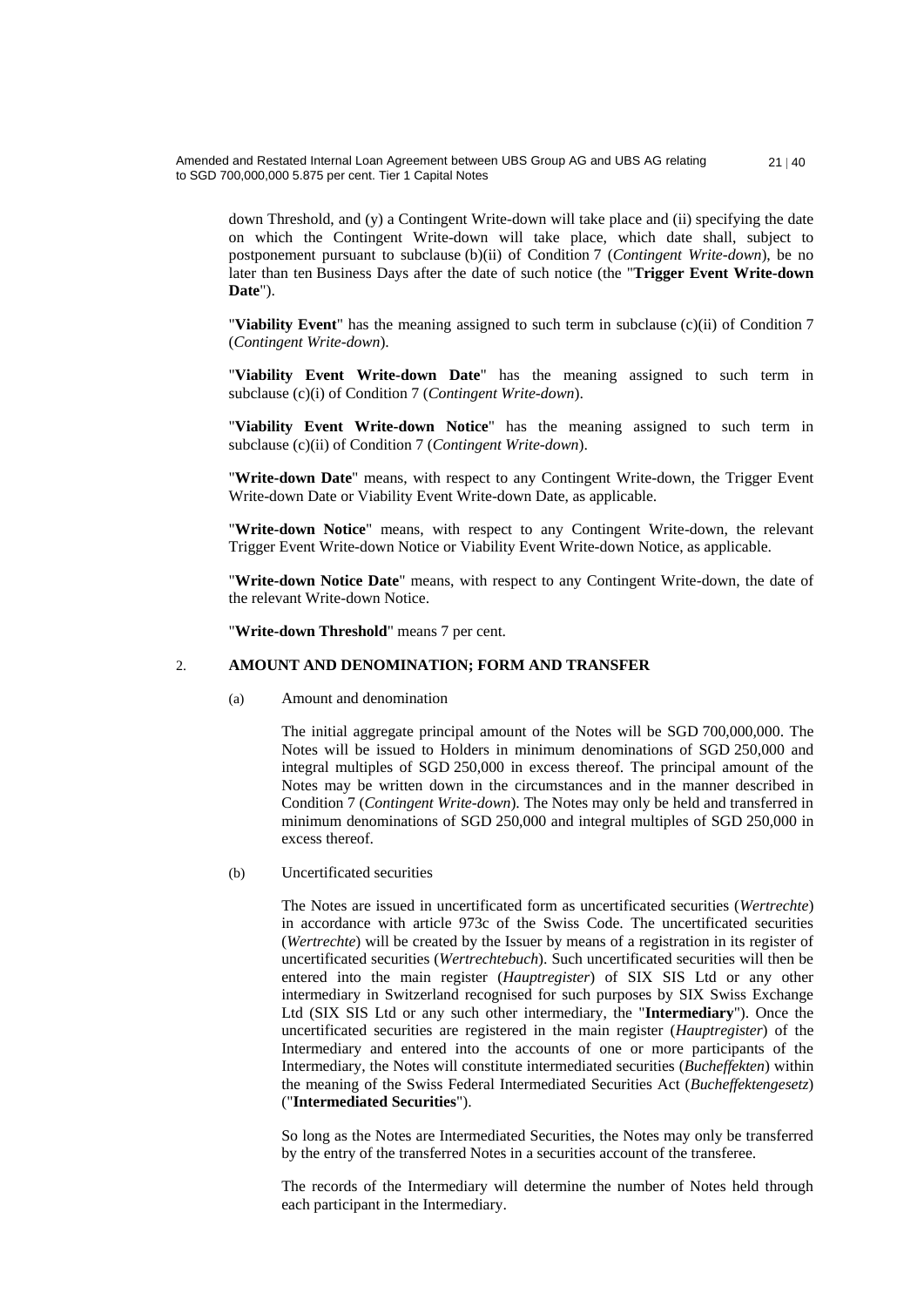down Threshold, and (y) a Contingent Write-down will take place and (ii) specifying the date on which the Contingent Write-down will take place, which date shall, subject to postponement pursuant to subclause (b)(ii) of Condition 7 (*Contingent Write-down*), be no later than ten Business Days after the date of such notice (the "**Trigger Event Write-down Date**").

"**Viability Event**" has the meaning assigned to such term in subclause (c)(ii) of Condition 7 (*Contingent Write-down*).

"**Viability Event Write-down Date**" has the meaning assigned to such term in subclause (c)(i) of Condition 7 (*Contingent Write-down*).

"**Viability Event Write-down Notice**" has the meaning assigned to such term in subclause (c)(ii) of Condition 7 (*Contingent Write-down*).

"**Write-down Date**" means, with respect to any Contingent Write-down, the Trigger Event Write-down Date or Viability Event Write-down Date, as applicable.

"**Write-down Notice**" means, with respect to any Contingent Write-down, the relevant Trigger Event Write-down Notice or Viability Event Write-down Notice, as applicable.

"**Write-down Notice Date**" means, with respect to any Contingent Write-down, the date of the relevant Write-down Notice.

"**Write-down Threshold**" means 7 per cent.

#### 2. **AMOUNT AND DENOMINATION; FORM AND TRANSFER**

(a) Amount and denomination

The initial aggregate principal amount of the Notes will be SGD 700,000,000. The Notes will be issued to Holders in minimum denominations of SGD 250,000 and integral multiples of SGD 250,000 in excess thereof. The principal amount of the Notes may be written down in the circumstances and in the manner described in Condition 7 (*Contingent Write-down*). The Notes may only be held and transferred in minimum denominations of SGD 250,000 and integral multiples of SGD 250,000 in excess thereof.

# (b) Uncertificated securities

The Notes are issued in uncertificated form as uncertificated securities (*Wertrechte*) in accordance with article 973c of the Swiss Code. The uncertificated securities (*Wertrechte*) will be created by the Issuer by means of a registration in its register of uncertificated securities (*Wertrechtebuch*). Such uncertificated securities will then be entered into the main register (*Hauptregister*) of SIX SIS Ltd or any other intermediary in Switzerland recognised for such purposes by SIX Swiss Exchange Ltd (SIX SIS Ltd or any such other intermediary, the "**Intermediary**"). Once the uncertificated securities are registered in the main register (*Hauptregister*) of the Intermediary and entered into the accounts of one or more participants of the Intermediary, the Notes will constitute intermediated securities (*Bucheffekten*) within the meaning of the Swiss Federal Intermediated Securities Act (*Bucheffektengesetz*) ("**Intermediated Securities**").

So long as the Notes are Intermediated Securities, the Notes may only be transferred by the entry of the transferred Notes in a securities account of the transferee.

The records of the Intermediary will determine the number of Notes held through each participant in the Intermediary.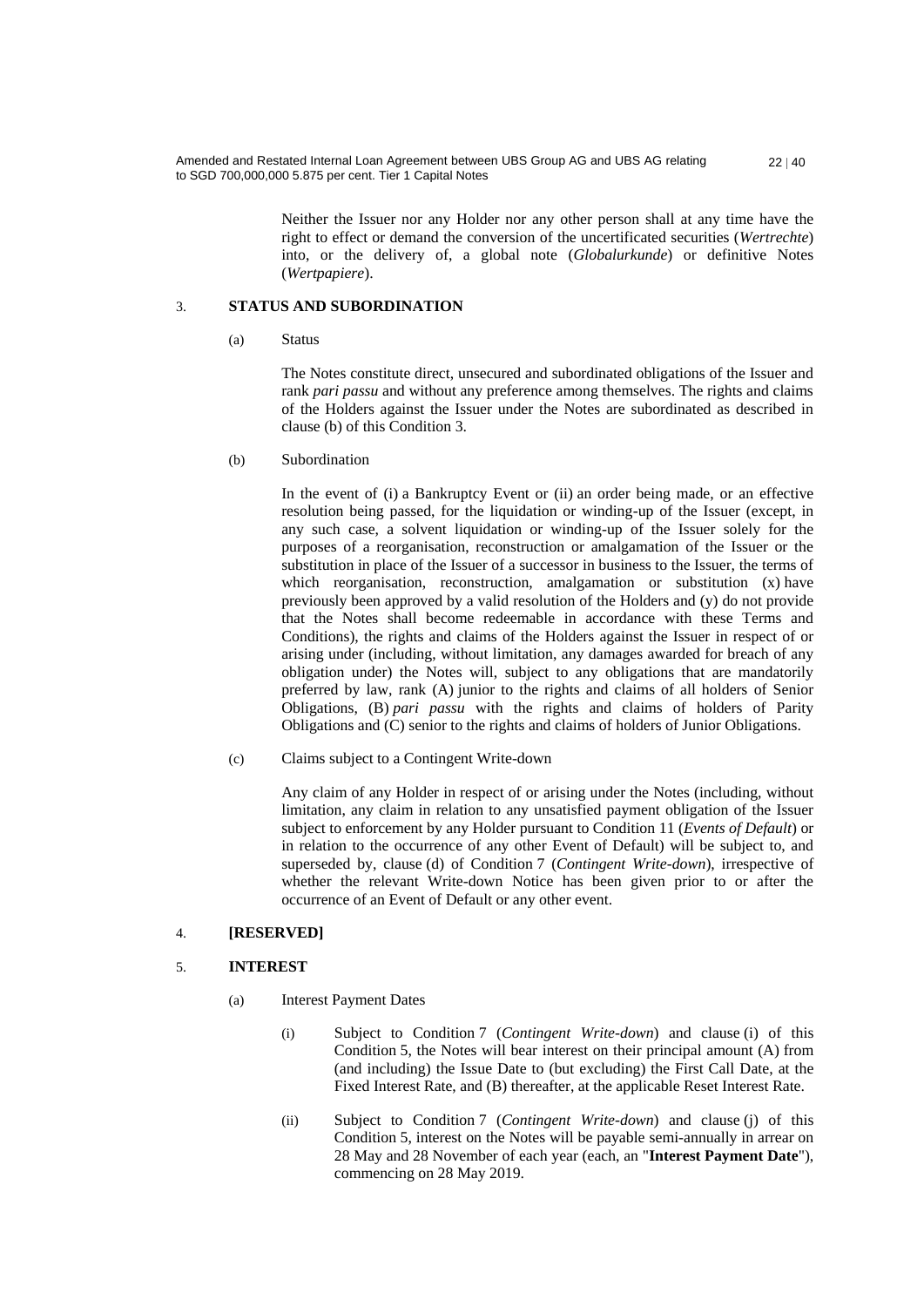> Neither the Issuer nor any Holder nor any other person shall at any time have the right to effect or demand the conversion of the uncertificated securities (*Wertrechte*) into, or the delivery of, a global note (*Globalurkunde*) or definitive Notes (*Wertpapiere*).

#### 3. **STATUS AND SUBORDINATION**

(a) Status

The Notes constitute direct, unsecured and subordinated obligations of the Issuer and rank *pari passu* and without any preference among themselves. The rights and claims of the Holders against the Issuer under the Notes are subordinated as described in clause (b) of this Condition 3.

(b) Subordination

In the event of (i) a Bankruptcy Event or (ii) an order being made, or an effective resolution being passed, for the liquidation or winding-up of the Issuer (except, in any such case, a solvent liquidation or winding-up of the Issuer solely for the purposes of a reorganisation, reconstruction or amalgamation of the Issuer or the substitution in place of the Issuer of a successor in business to the Issuer, the terms of which reorganisation, reconstruction, amalgamation or substitution (x) have previously been approved by a valid resolution of the Holders and (y) do not provide that the Notes shall become redeemable in accordance with these Terms and Conditions), the rights and claims of the Holders against the Issuer in respect of or arising under (including, without limitation, any damages awarded for breach of any obligation under) the Notes will, subject to any obligations that are mandatorily preferred by law, rank (A) junior to the rights and claims of all holders of Senior Obligations, (B) *pari passu* with the rights and claims of holders of Parity Obligations and (C) senior to the rights and claims of holders of Junior Obligations.

(c) Claims subject to a Contingent Write-down

Any claim of any Holder in respect of or arising under the Notes (including, without limitation, any claim in relation to any unsatisfied payment obligation of the Issuer subject to enforcement by any Holder pursuant to Condition 11 (*Events of Default*) or in relation to the occurrence of any other Event of Default) will be subject to, and superseded by, clause (d) of Condition 7 (*Contingent Write-down*), irrespective of whether the relevant Write-down Notice has been given prior to or after the occurrence of an Event of Default or any other event.

### 4. **[RESERVED]**

#### 5. **INTEREST**

- (a) Interest Payment Dates
	- (i) Subject to Condition 7 (*Contingent Write-down*) and clause (i) of this Condition 5, the Notes will bear interest on their principal amount (A) from (and including) the Issue Date to (but excluding) the First Call Date, at the Fixed Interest Rate, and (B) thereafter, at the applicable Reset Interest Rate.
	- (ii) Subject to Condition 7 (*Contingent Write-down*) and clause (j) of this Condition 5, interest on the Notes will be payable semi-annually in arrear on 28 May and 28 November of each year (each, an "**Interest Payment Date**"), commencing on 28 May 2019.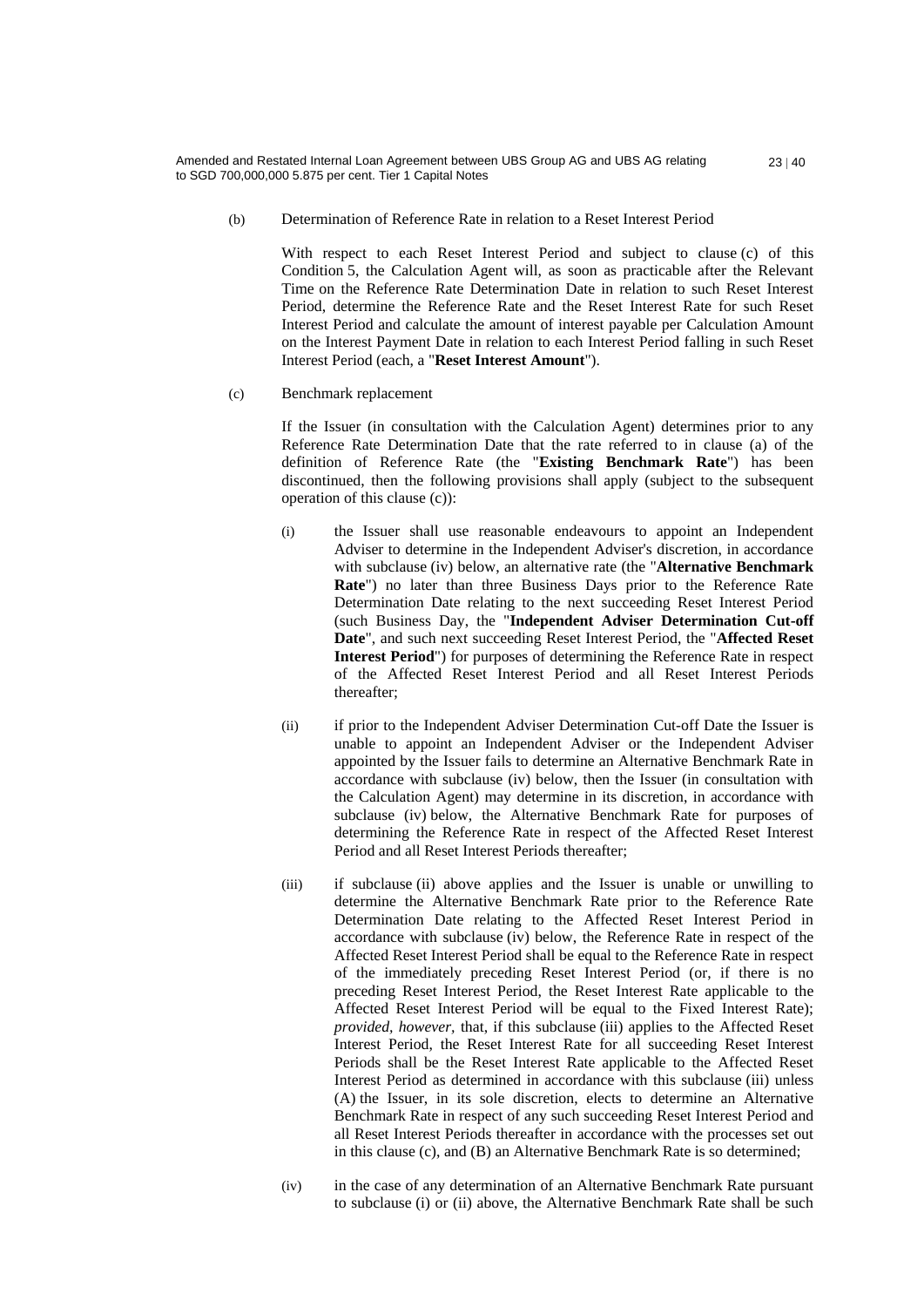(b) Determination of Reference Rate in relation to a Reset Interest Period

With respect to each Reset Interest Period and subject to clause (c) of this Condition 5, the Calculation Agent will, as soon as practicable after the Relevant Time on the Reference Rate Determination Date in relation to such Reset Interest Period, determine the Reference Rate and the Reset Interest Rate for such Reset Interest Period and calculate the amount of interest payable per Calculation Amount on the Interest Payment Date in relation to each Interest Period falling in such Reset Interest Period (each, a "**Reset Interest Amount**").

(c) Benchmark replacement

If the Issuer (in consultation with the Calculation Agent) determines prior to any Reference Rate Determination Date that the rate referred to in clause (a) of the definition of Reference Rate (the "**Existing Benchmark Rate**") has been discontinued, then the following provisions shall apply (subject to the subsequent operation of this clause (c)):

- (i) the Issuer shall use reasonable endeavours to appoint an Independent Adviser to determine in the Independent Adviser's discretion, in accordance with subclause (iv) below, an alternative rate (the "**Alternative Benchmark Rate**") no later than three Business Days prior to the Reference Rate Determination Date relating to the next succeeding Reset Interest Period (such Business Day, the "**Independent Adviser Determination Cut-off Date**", and such next succeeding Reset Interest Period, the "**Affected Reset Interest Period**") for purposes of determining the Reference Rate in respect of the Affected Reset Interest Period and all Reset Interest Periods thereafter;
- (ii) if prior to the Independent Adviser Determination Cut-off Date the Issuer is unable to appoint an Independent Adviser or the Independent Adviser appointed by the Issuer fails to determine an Alternative Benchmark Rate in accordance with subclause (iv) below, then the Issuer (in consultation with the Calculation Agent) may determine in its discretion, in accordance with subclause (iv) below, the Alternative Benchmark Rate for purposes of determining the Reference Rate in respect of the Affected Reset Interest Period and all Reset Interest Periods thereafter;
- (iii) if subclause (ii) above applies and the Issuer is unable or unwilling to determine the Alternative Benchmark Rate prior to the Reference Rate Determination Date relating to the Affected Reset Interest Period in accordance with subclause (iv) below, the Reference Rate in respect of the Affected Reset Interest Period shall be equal to the Reference Rate in respect of the immediately preceding Reset Interest Period (or, if there is no preceding Reset Interest Period, the Reset Interest Rate applicable to the Affected Reset Interest Period will be equal to the Fixed Interest Rate); *provided, however,* that, if this subclause (iii) applies to the Affected Reset Interest Period, the Reset Interest Rate for all succeeding Reset Interest Periods shall be the Reset Interest Rate applicable to the Affected Reset Interest Period as determined in accordance with this subclause (iii) unless (A) the Issuer, in its sole discretion, elects to determine an Alternative Benchmark Rate in respect of any such succeeding Reset Interest Period and all Reset Interest Periods thereafter in accordance with the processes set out in this clause (c), and (B) an Alternative Benchmark Rate is so determined;
- (iv) in the case of any determination of an Alternative Benchmark Rate pursuant to subclause (i) or (ii) above, the Alternative Benchmark Rate shall be such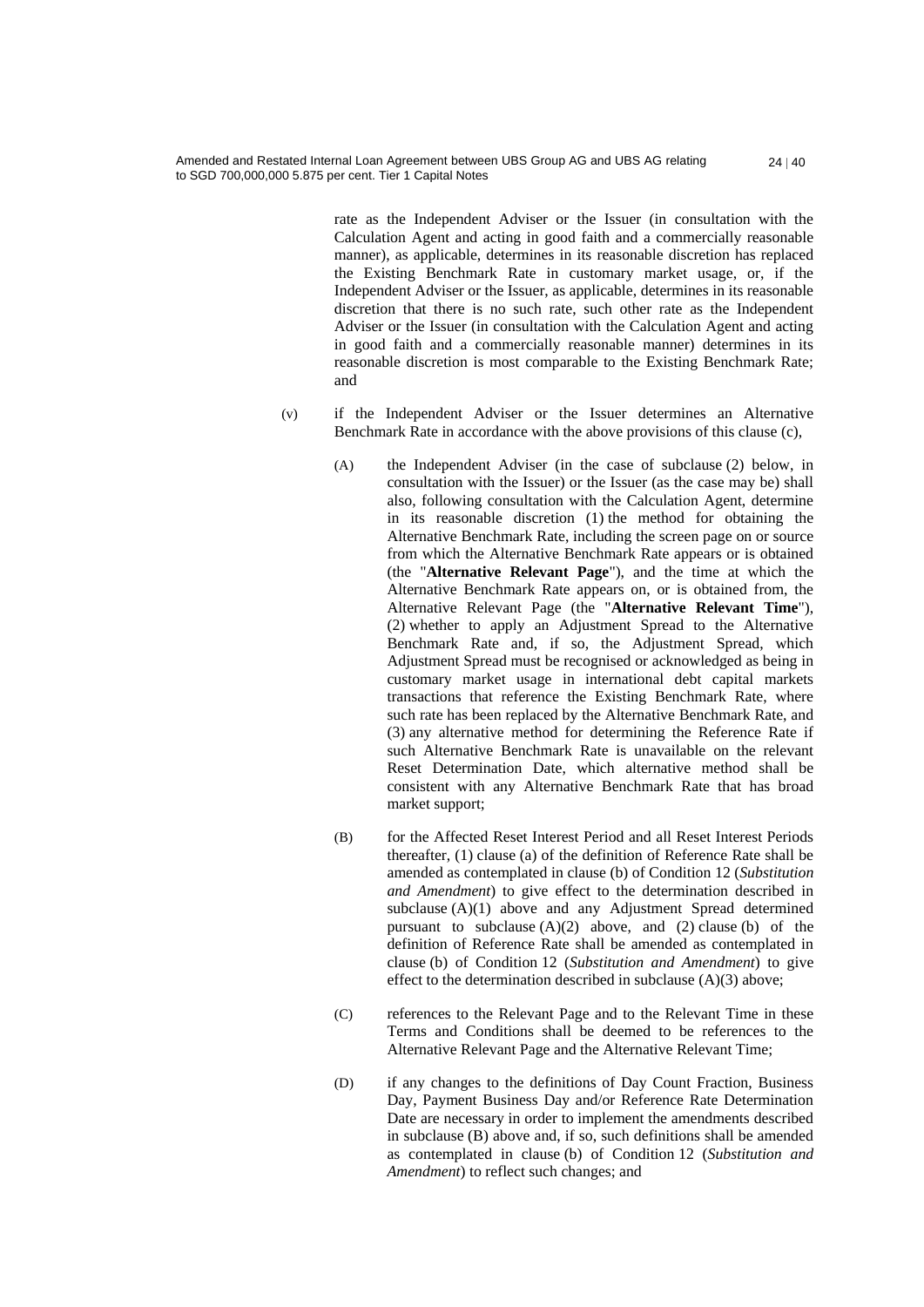rate as the Independent Adviser or the Issuer (in consultation with the Calculation Agent and acting in good faith and a commercially reasonable manner), as applicable, determines in its reasonable discretion has replaced the Existing Benchmark Rate in customary market usage, or, if the Independent Adviser or the Issuer, as applicable, determines in its reasonable discretion that there is no such rate, such other rate as the Independent Adviser or the Issuer (in consultation with the Calculation Agent and acting in good faith and a commercially reasonable manner) determines in its reasonable discretion is most comparable to the Existing Benchmark Rate; and

 $24 | 40$ 

- (v) if the Independent Adviser or the Issuer determines an Alternative Benchmark Rate in accordance with the above provisions of this clause (c),
	- (A) the Independent Adviser (in the case of subclause (2) below, in consultation with the Issuer) or the Issuer (as the case may be) shall also, following consultation with the Calculation Agent, determine in its reasonable discretion (1) the method for obtaining the Alternative Benchmark Rate, including the screen page on or source from which the Alternative Benchmark Rate appears or is obtained (the "**Alternative Relevant Page**"), and the time at which the Alternative Benchmark Rate appears on, or is obtained from, the Alternative Relevant Page (the "**Alternative Relevant Time**"), (2) whether to apply an Adjustment Spread to the Alternative Benchmark Rate and, if so, the Adjustment Spread, which Adjustment Spread must be recognised or acknowledged as being in customary market usage in international debt capital markets transactions that reference the Existing Benchmark Rate, where such rate has been replaced by the Alternative Benchmark Rate, and (3) any alternative method for determining the Reference Rate if such Alternative Benchmark Rate is unavailable on the relevant Reset Determination Date, which alternative method shall be consistent with any Alternative Benchmark Rate that has broad market support;
	- (B) for the Affected Reset Interest Period and all Reset Interest Periods thereafter, (1) clause (a) of the definition of Reference Rate shall be amended as contemplated in clause (b) of Condition 12 (*Substitution and Amendment*) to give effect to the determination described in subclause (A)(1) above and any Adjustment Spread determined pursuant to subclause  $(A)(2)$  above, and  $(2)$  clause (b) of the definition of Reference Rate shall be amended as contemplated in clause (b) of Condition 12 (*Substitution and Amendment*) to give effect to the determination described in subclause (A)(3) above;
	- (C) references to the Relevant Page and to the Relevant Time in these Terms and Conditions shall be deemed to be references to the Alternative Relevant Page and the Alternative Relevant Time;
	- (D) if any changes to the definitions of Day Count Fraction, Business Day, Payment Business Day and/or Reference Rate Determination Date are necessary in order to implement the amendments described in subclause (B) above and, if so, such definitions shall be amended as contemplated in clause (b) of Condition 12 (*Substitution and Amendment*) to reflect such changes; and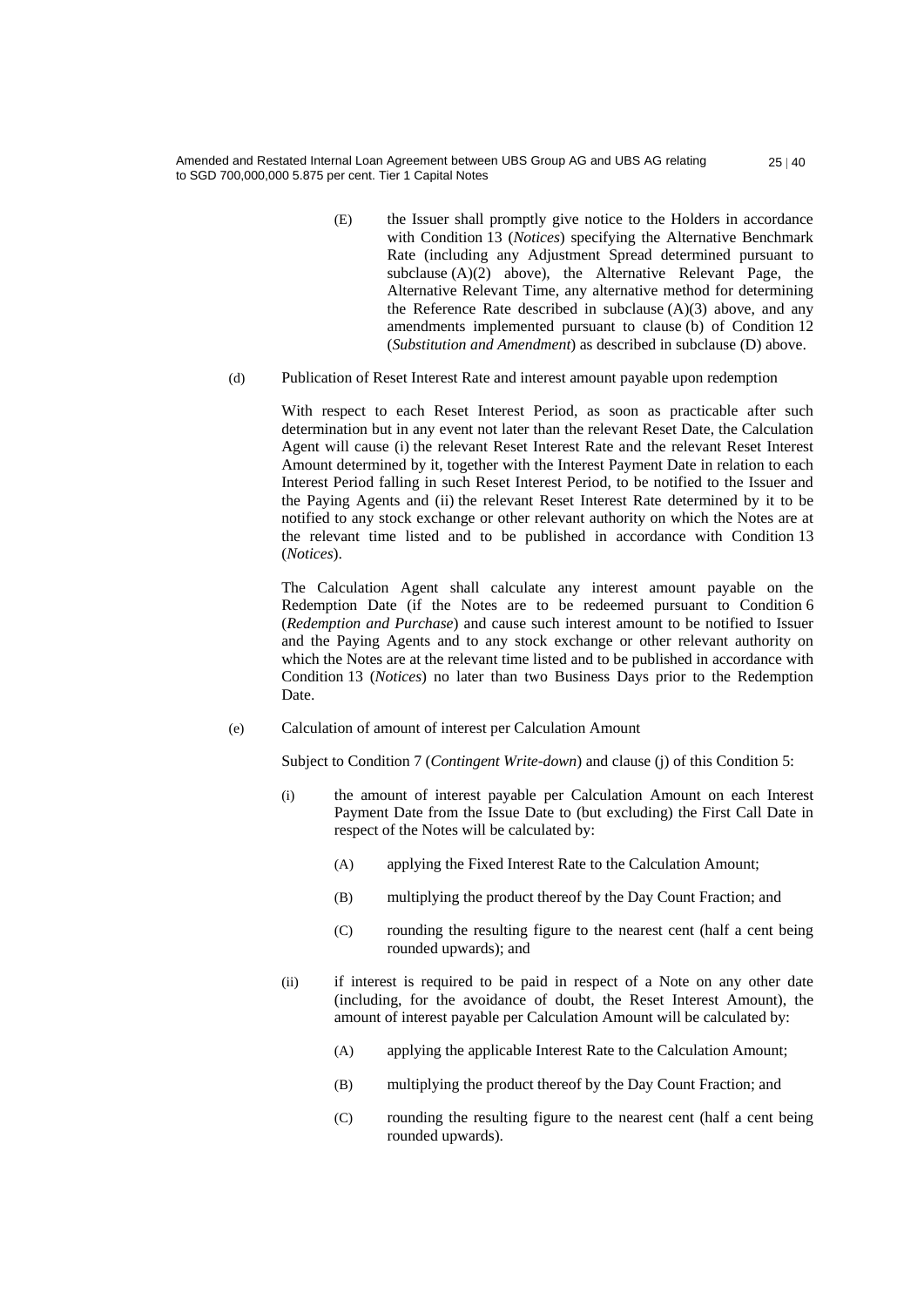- (E) the Issuer shall promptly give notice to the Holders in accordance with Condition 13 (*Notices*) specifying the Alternative Benchmark Rate (including any Adjustment Spread determined pursuant to subclause  $(A)(2)$  above), the Alternative Relevant Page, the Alternative Relevant Time, any alternative method for determining the Reference Rate described in subclause  $(A)(3)$  above, and any amendments implemented pursuant to clause (b) of Condition 12 (*Substitution and Amendment*) as described in subclause (D) above.
- (d) Publication of Reset Interest Rate and interest amount payable upon redemption

With respect to each Reset Interest Period, as soon as practicable after such determination but in any event not later than the relevant Reset Date, the Calculation Agent will cause (i) the relevant Reset Interest Rate and the relevant Reset Interest Amount determined by it, together with the Interest Payment Date in relation to each Interest Period falling in such Reset Interest Period, to be notified to the Issuer and the Paying Agents and (ii) the relevant Reset Interest Rate determined by it to be notified to any stock exchange or other relevant authority on which the Notes are at the relevant time listed and to be published in accordance with Condition 13 (*Notices*).

The Calculation Agent shall calculate any interest amount payable on the Redemption Date (if the Notes are to be redeemed pursuant to Condition 6 (*Redemption and Purchase*) and cause such interest amount to be notified to Issuer and the Paying Agents and to any stock exchange or other relevant authority on which the Notes are at the relevant time listed and to be published in accordance with Condition 13 (*Notices*) no later than two Business Days prior to the Redemption Date.

(e) Calculation of amount of interest per Calculation Amount

Subject to Condition 7 (*Contingent Write-down*) and clause (j) of this Condition 5:

- (i) the amount of interest payable per Calculation Amount on each Interest Payment Date from the Issue Date to (but excluding) the First Call Date in respect of the Notes will be calculated by:
	- (A) applying the Fixed Interest Rate to the Calculation Amount;
	- (B) multiplying the product thereof by the Day Count Fraction; and
	- (C) rounding the resulting figure to the nearest cent (half a cent being rounded upwards); and
- (ii) if interest is required to be paid in respect of a Note on any other date (including, for the avoidance of doubt, the Reset Interest Amount), the amount of interest payable per Calculation Amount will be calculated by:
	- (A) applying the applicable Interest Rate to the Calculation Amount;
	- (B) multiplying the product thereof by the Day Count Fraction; and
	- (C) rounding the resulting figure to the nearest cent (half a cent being rounded upwards).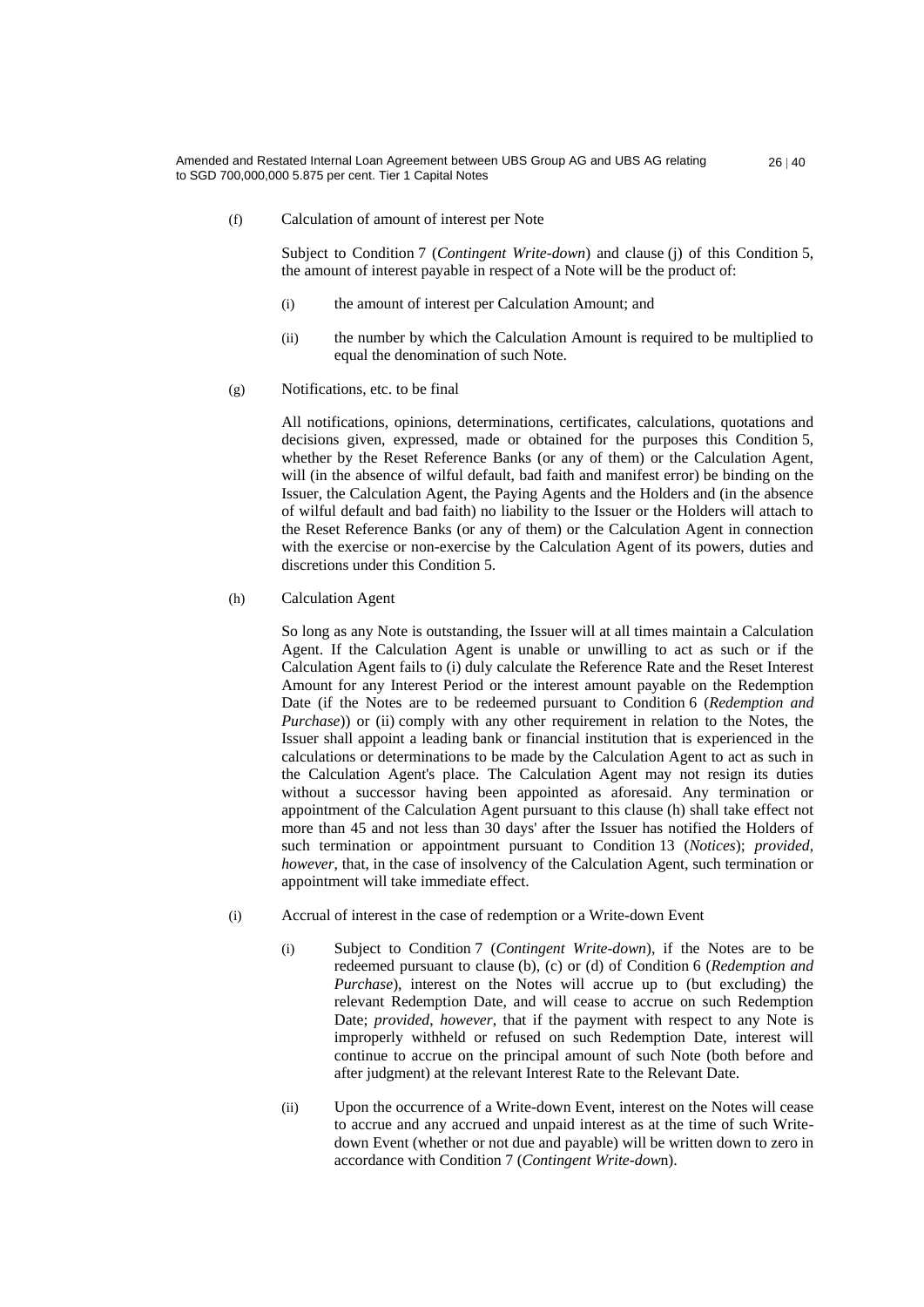(f) Calculation of amount of interest per Note

Subject to Condition 7 (*Contingent Write-down*) and clause (j) of this Condition 5, the amount of interest payable in respect of a Note will be the product of:

- (i) the amount of interest per Calculation Amount; and
- (ii) the number by which the Calculation Amount is required to be multiplied to equal the denomination of such Note.
- (g) Notifications, etc. to be final

All notifications, opinions, determinations, certificates, calculations, quotations and decisions given, expressed, made or obtained for the purposes this Condition 5, whether by the Reset Reference Banks (or any of them) or the Calculation Agent, will (in the absence of wilful default, bad faith and manifest error) be binding on the Issuer, the Calculation Agent, the Paying Agents and the Holders and (in the absence of wilful default and bad faith) no liability to the Issuer or the Holders will attach to the Reset Reference Banks (or any of them) or the Calculation Agent in connection with the exercise or non-exercise by the Calculation Agent of its powers, duties and discretions under this Condition 5.

#### (h) Calculation Agent

So long as any Note is outstanding, the Issuer will at all times maintain a Calculation Agent. If the Calculation Agent is unable or unwilling to act as such or if the Calculation Agent fails to (i) duly calculate the Reference Rate and the Reset Interest Amount for any Interest Period or the interest amount payable on the Redemption Date (if the Notes are to be redeemed pursuant to Condition 6 (*Redemption and Purchase*)) or (ii) comply with any other requirement in relation to the Notes, the Issuer shall appoint a leading bank or financial institution that is experienced in the calculations or determinations to be made by the Calculation Agent to act as such in the Calculation Agent's place. The Calculation Agent may not resign its duties without a successor having been appointed as aforesaid. Any termination or appointment of the Calculation Agent pursuant to this clause (h) shall take effect not more than 45 and not less than 30 days' after the Issuer has notified the Holders of such termination or appointment pursuant to Condition 13 (*Notices*); *provided*, *however*, that, in the case of insolvency of the Calculation Agent, such termination or appointment will take immediate effect.

- (i) Accrual of interest in the case of redemption or a Write-down Event
	- (i) Subject to Condition 7 (*Contingent Write-down*), if the Notes are to be redeemed pursuant to clause (b), (c) or (d) of Condition 6 (*Redemption and Purchase*), interest on the Notes will accrue up to (but excluding) the relevant Redemption Date, and will cease to accrue on such Redemption Date; *provided*, *however*, that if the payment with respect to any Note is improperly withheld or refused on such Redemption Date, interest will continue to accrue on the principal amount of such Note (both before and after judgment) at the relevant Interest Rate to the Relevant Date.
	- (ii) Upon the occurrence of a Write-down Event, interest on the Notes will cease to accrue and any accrued and unpaid interest as at the time of such Writedown Event (whether or not due and payable) will be written down to zero in accordance with Condition 7 (*Contingent Write-dow*n).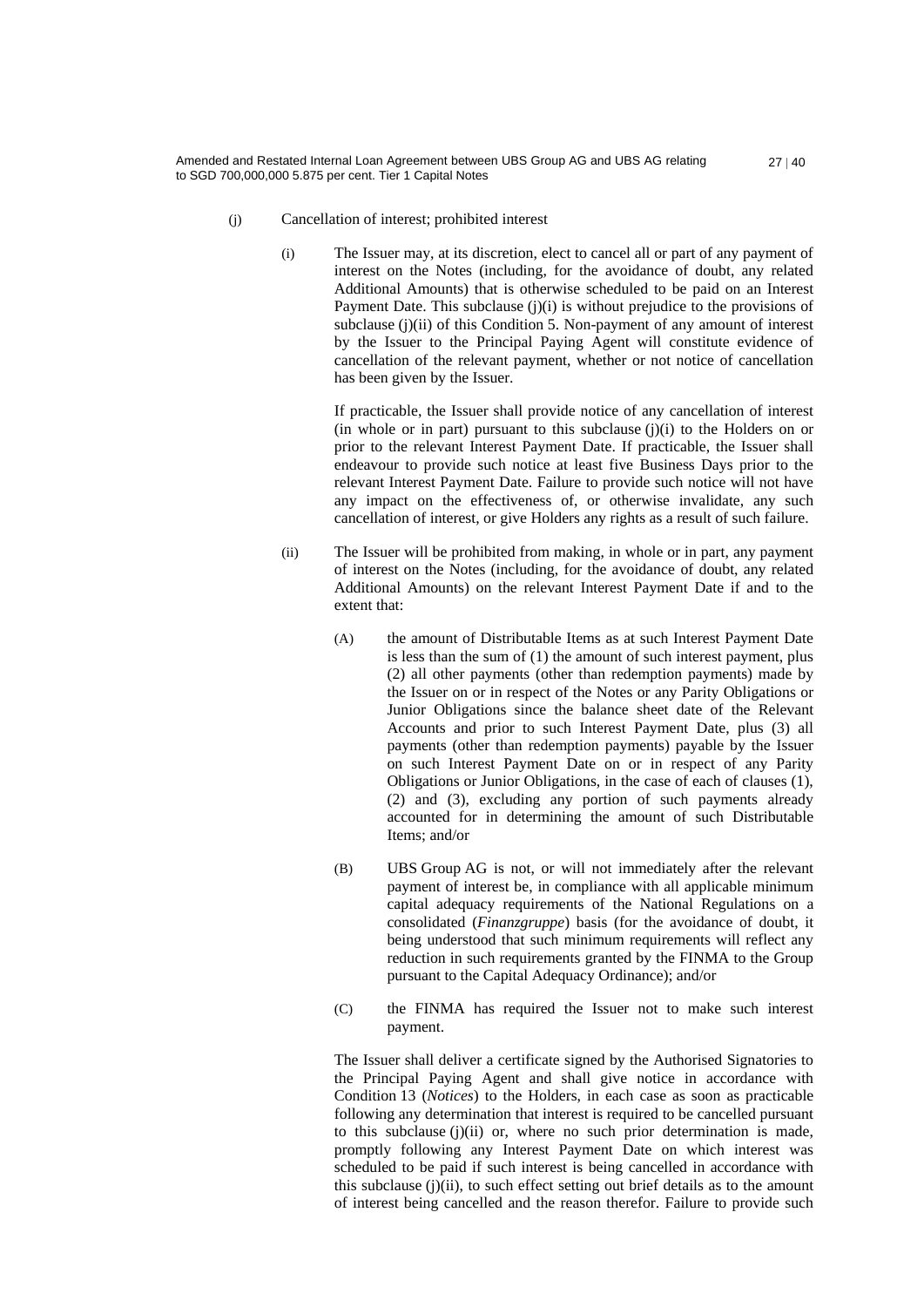- 
- $27 | 40$

- (j) Cancellation of interest; prohibited interest
	- (i) The Issuer may, at its discretion, elect to cancel all or part of any payment of interest on the Notes (including, for the avoidance of doubt, any related Additional Amounts) that is otherwise scheduled to be paid on an Interest Payment Date. This subclause (j)(i) is without prejudice to the provisions of subclause (j)(ii) of this Condition 5. Non-payment of any amount of interest by the Issuer to the Principal Paying Agent will constitute evidence of cancellation of the relevant payment, whether or not notice of cancellation has been given by the Issuer.

If practicable, the Issuer shall provide notice of any cancellation of interest (in whole or in part) pursuant to this subclause  $(j)(i)$  to the Holders on or prior to the relevant Interest Payment Date. If practicable, the Issuer shall endeavour to provide such notice at least five Business Days prior to the relevant Interest Payment Date. Failure to provide such notice will not have any impact on the effectiveness of, or otherwise invalidate, any such cancellation of interest, or give Holders any rights as a result of such failure.

- (ii) The Issuer will be prohibited from making, in whole or in part, any payment of interest on the Notes (including, for the avoidance of doubt, any related Additional Amounts) on the relevant Interest Payment Date if and to the extent that:
	- (A) the amount of Distributable Items as at such Interest Payment Date is less than the sum of (1) the amount of such interest payment, plus (2) all other payments (other than redemption payments) made by the Issuer on or in respect of the Notes or any Parity Obligations or Junior Obligations since the balance sheet date of the Relevant Accounts and prior to such Interest Payment Date, plus (3) all payments (other than redemption payments) payable by the Issuer on such Interest Payment Date on or in respect of any Parity Obligations or Junior Obligations, in the case of each of clauses (1), (2) and (3), excluding any portion of such payments already accounted for in determining the amount of such Distributable Items; and/or
	- (B) UBS Group AG is not, or will not immediately after the relevant payment of interest be, in compliance with all applicable minimum capital adequacy requirements of the National Regulations on a consolidated (*Finanzgruppe*) basis (for the avoidance of doubt, it being understood that such minimum requirements will reflect any reduction in such requirements granted by the FINMA to the Group pursuant to the Capital Adequacy Ordinance); and/or
	- (C) the FINMA has required the Issuer not to make such interest payment.

The Issuer shall deliver a certificate signed by the Authorised Signatories to the Principal Paying Agent and shall give notice in accordance with Condition 13 (*Notices*) to the Holders, in each case as soon as practicable following any determination that interest is required to be cancelled pursuant to this subclause (j)(ii) or, where no such prior determination is made, promptly following any Interest Payment Date on which interest was scheduled to be paid if such interest is being cancelled in accordance with this subclause  $(i)(ii)$ , to such effect setting out brief details as to the amount of interest being cancelled and the reason therefor. Failure to provide such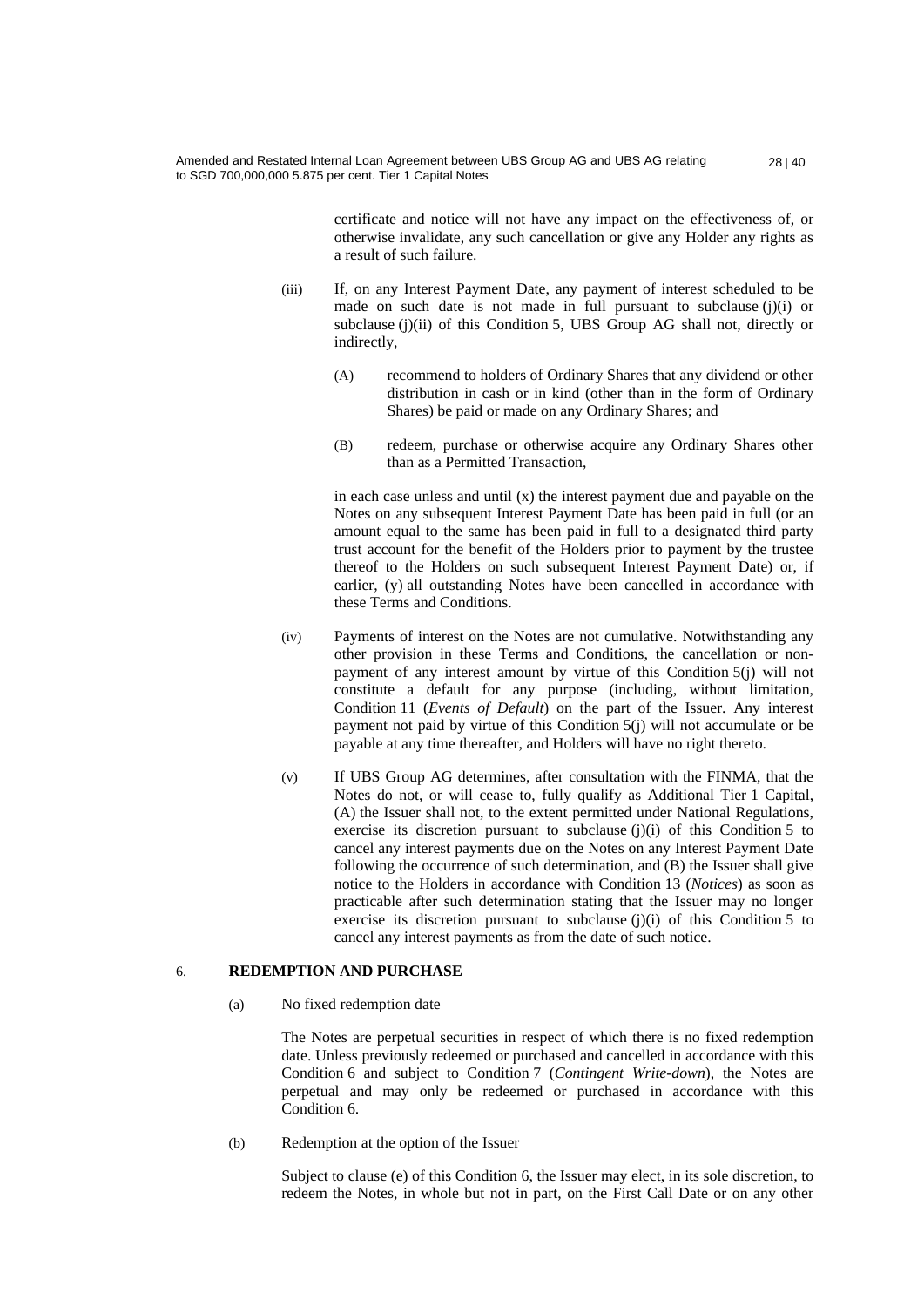certificate and notice will not have any impact on the effectiveness of, or otherwise invalidate, any such cancellation or give any Holder any rights as a result of such failure.

- (iii) If, on any Interest Payment Date, any payment of interest scheduled to be made on such date is not made in full pursuant to subclause (j)(i) or subclause (j)(ii) of this Condition 5, UBS Group AG shall not, directly or indirectly,
	- (A) recommend to holders of Ordinary Shares that any dividend or other distribution in cash or in kind (other than in the form of Ordinary Shares) be paid or made on any Ordinary Shares; and
	- (B) redeem, purchase or otherwise acquire any Ordinary Shares other than as a Permitted Transaction,

in each case unless and until  $(x)$  the interest payment due and payable on the Notes on any subsequent Interest Payment Date has been paid in full (or an amount equal to the same has been paid in full to a designated third party trust account for the benefit of the Holders prior to payment by the trustee thereof to the Holders on such subsequent Interest Payment Date) or, if earlier, (y) all outstanding Notes have been cancelled in accordance with these Terms and Conditions.

- (iv) Payments of interest on the Notes are not cumulative. Notwithstanding any other provision in these Terms and Conditions, the cancellation or nonpayment of any interest amount by virtue of this Condition 5(j) will not constitute a default for any purpose (including, without limitation, Condition 11 (*Events of Default*) on the part of the Issuer. Any interest payment not paid by virtue of this Condition 5(j) will not accumulate or be payable at any time thereafter, and Holders will have no right thereto.
- (v) If UBS Group AG determines, after consultation with the FINMA, that the Notes do not, or will cease to, fully qualify as Additional Tier 1 Capital, (A) the Issuer shall not, to the extent permitted under National Regulations, exercise its discretion pursuant to subclause  $(j)(i)$  of this Condition 5 to cancel any interest payments due on the Notes on any Interest Payment Date following the occurrence of such determination, and (B) the Issuer shall give notice to the Holders in accordance with Condition 13 (*Notices*) as soon as practicable after such determination stating that the Issuer may no longer exercise its discretion pursuant to subclause  $(i)(i)$  of this Condition 5 to cancel any interest payments as from the date of such notice.

# 6. **REDEMPTION AND PURCHASE**

(a) No fixed redemption date

The Notes are perpetual securities in respect of which there is no fixed redemption date. Unless previously redeemed or purchased and cancelled in accordance with this Condition 6 and subject to Condition 7 (*Contingent Write-down*), the Notes are perpetual and may only be redeemed or purchased in accordance with this Condition 6.

(b) Redemption at the option of the Issuer

Subject to clause (e) of this Condition 6, the Issuer may elect, in its sole discretion, to redeem the Notes, in whole but not in part, on the First Call Date or on any other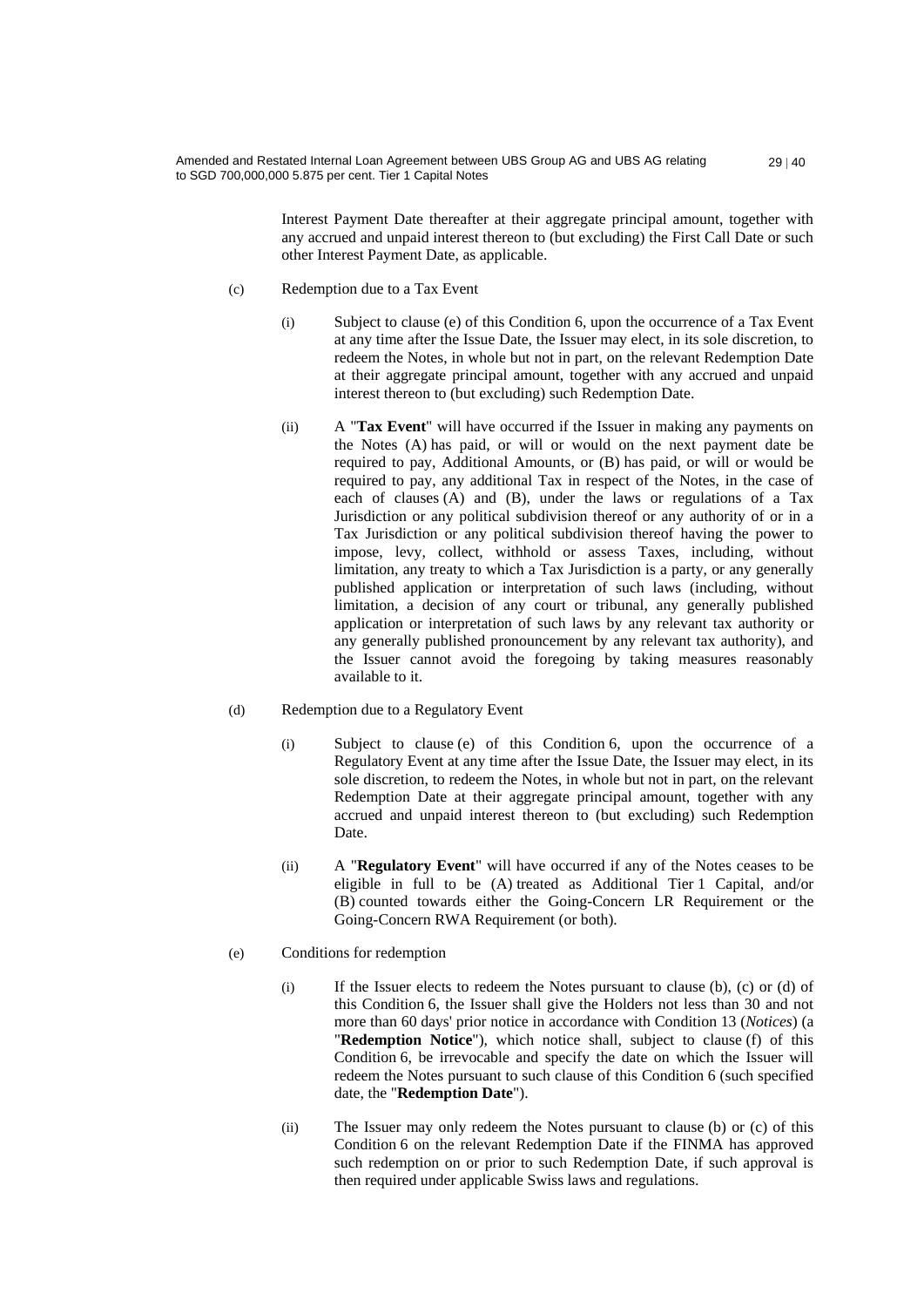> Interest Payment Date thereafter at their aggregate principal amount, together with any accrued and unpaid interest thereon to (but excluding) the First Call Date or such other Interest Payment Date, as applicable.

- (c) Redemption due to a Tax Event
	- (i) Subject to clause (e) of this Condition 6, upon the occurrence of a Tax Event at any time after the Issue Date, the Issuer may elect, in its sole discretion, to redeem the Notes, in whole but not in part, on the relevant Redemption Date at their aggregate principal amount, together with any accrued and unpaid interest thereon to (but excluding) such Redemption Date.
	- (ii) A "**Tax Event**" will have occurred if the Issuer in making any payments on the Notes (A) has paid, or will or would on the next payment date be required to pay, Additional Amounts, or (B) has paid, or will or would be required to pay, any additional Tax in respect of the Notes, in the case of each of clauses (A) and (B), under the laws or regulations of a Tax Jurisdiction or any political subdivision thereof or any authority of or in a Tax Jurisdiction or any political subdivision thereof having the power to impose, levy, collect, withhold or assess Taxes, including, without limitation, any treaty to which a Tax Jurisdiction is a party, or any generally published application or interpretation of such laws (including, without limitation, a decision of any court or tribunal, any generally published application or interpretation of such laws by any relevant tax authority or any generally published pronouncement by any relevant tax authority), and the Issuer cannot avoid the foregoing by taking measures reasonably available to it.

### (d) Redemption due to a Regulatory Event

- (i) Subject to clause (e) of this Condition 6, upon the occurrence of a Regulatory Event at any time after the Issue Date, the Issuer may elect, in its sole discretion, to redeem the Notes, in whole but not in part, on the relevant Redemption Date at their aggregate principal amount, together with any accrued and unpaid interest thereon to (but excluding) such Redemption Date.
- (ii) A "**Regulatory Event**" will have occurred if any of the Notes ceases to be eligible in full to be (A) treated as Additional Tier 1 Capital, and/or (B) counted towards either the Going-Concern LR Requirement or the Going-Concern RWA Requirement (or both).

#### (e) Conditions for redemption

- (i) If the Issuer elects to redeem the Notes pursuant to clause (b), (c) or (d) of this Condition 6, the Issuer shall give the Holders not less than 30 and not more than 60 days' prior notice in accordance with Condition 13 (*Notices*) (a "**Redemption Notice**"), which notice shall, subject to clause (f) of this Condition 6, be irrevocable and specify the date on which the Issuer will redeem the Notes pursuant to such clause of this Condition 6 (such specified date, the "**Redemption Date**").
- (ii) The Issuer may only redeem the Notes pursuant to clause (b) or (c) of this Condition 6 on the relevant Redemption Date if the FINMA has approved such redemption on or prior to such Redemption Date, if such approval is then required under applicable Swiss laws and regulations.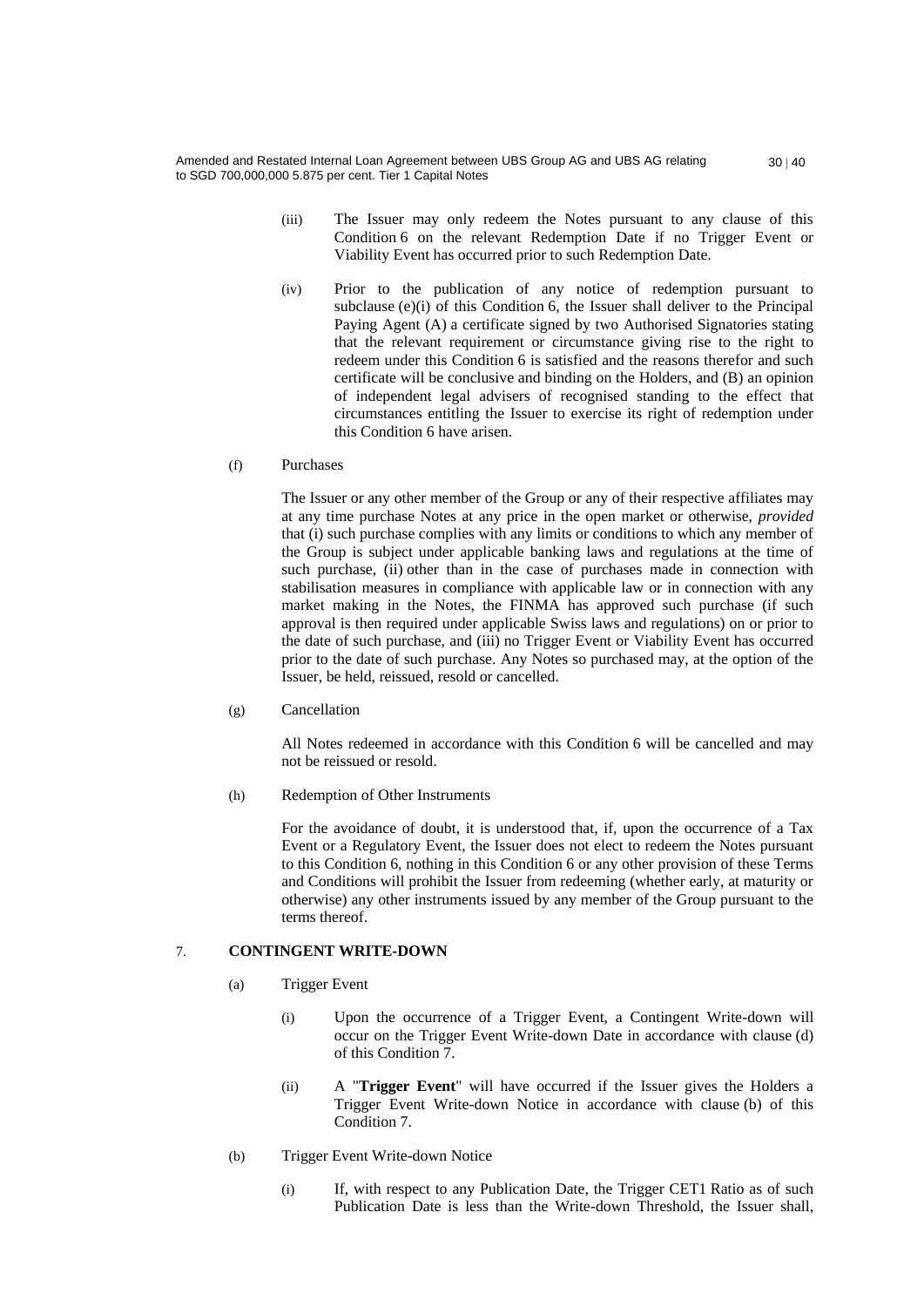- (iii) The Issuer may only redeem the Notes pursuant to any clause of this Condition 6 on the relevant Redemption Date if no Trigger Event or Viability Event has occurred prior to such Redemption Date.
- (iv) Prior to the publication of any notice of redemption pursuant to subclause (e)(i) of this Condition 6, the Issuer shall deliver to the Principal Paying Agent (A) a certificate signed by two Authorised Signatories stating that the relevant requirement or circumstance giving rise to the right to redeem under this Condition 6 is satisfied and the reasons therefor and such certificate will be conclusive and binding on the Holders, and (B) an opinion of independent legal advisers of recognised standing to the effect that circumstances entitling the Issuer to exercise its right of redemption under this Condition 6 have arisen.

#### (f) Purchases

The Issuer or any other member of the Group or any of their respective affiliates may at any time purchase Notes at any price in the open market or otherwise, *provided* that (i) such purchase complies with any limits or conditions to which any member of the Group is subject under applicable banking laws and regulations at the time of such purchase, (ii) other than in the case of purchases made in connection with stabilisation measures in compliance with applicable law or in connection with any market making in the Notes, the FINMA has approved such purchase (if such approval is then required under applicable Swiss laws and regulations) on or prior to the date of such purchase, and (iii) no Trigger Event or Viability Event has occurred prior to the date of such purchase. Any Notes so purchased may, at the option of the Issuer, be held, reissued, resold or cancelled.

(g) Cancellation

All Notes redeemed in accordance with this Condition 6 will be cancelled and may not be reissued or resold.

(h) Redemption of Other Instruments

For the avoidance of doubt, it is understood that, if, upon the occurrence of a Tax Event or a Regulatory Event, the Issuer does not elect to redeem the Notes pursuant to this Condition 6, nothing in this Condition 6 or any other provision of these Terms and Conditions will prohibit the Issuer from redeeming (whether early, at maturity or otherwise) any other instruments issued by any member of the Group pursuant to the terms thereof.

## 7. **CONTINGENT WRITE-DOWN**

- (a) Trigger Event
	- (i) Upon the occurrence of a Trigger Event, a Contingent Write-down will occur on the Trigger Event Write-down Date in accordance with clause (d) of this Condition 7.
	- (ii) A "**Trigger Event**" will have occurred if the Issuer gives the Holders a Trigger Event Write-down Notice in accordance with clause (b) of this Condition 7.
- (b) Trigger Event Write-down Notice
	- (i) If, with respect to any Publication Date, the Trigger CET1 Ratio as of such Publication Date is less than the Write-down Threshold, the Issuer shall,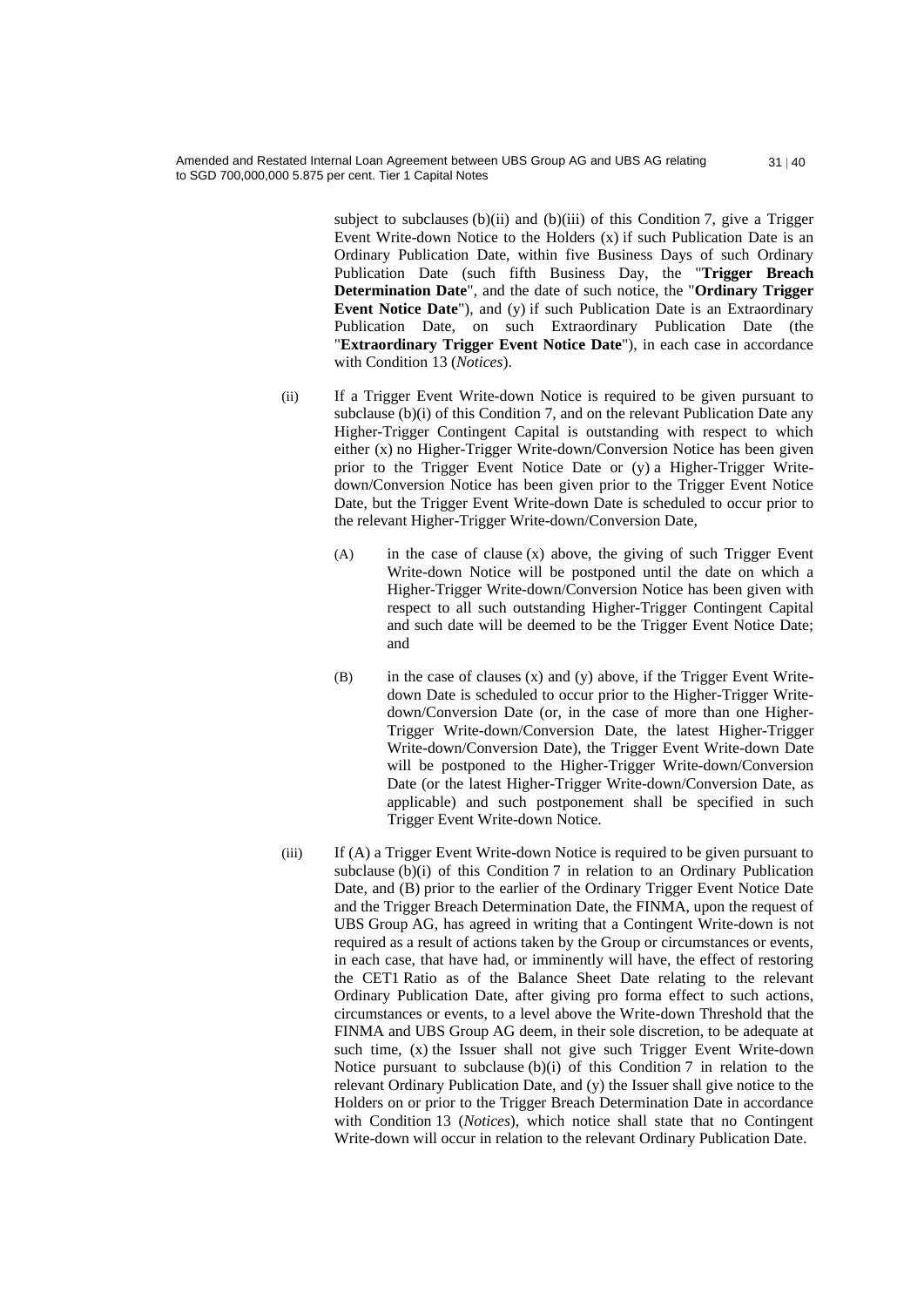subject to subclauses (b)(ii) and (b)(iii) of this Condition 7, give a Trigger Event Write-down Notice to the Holders (x) if such Publication Date is an Ordinary Publication Date, within five Business Days of such Ordinary Publication Date (such fifth Business Day, the "**Trigger Breach Determination Date**", and the date of such notice, the "**Ordinary Trigger Event Notice Date**"), and (y) if such Publication Date is an Extraordinary Publication Date, on such Extraordinary Publication Date (the "**Extraordinary Trigger Event Notice Date**"), in each case in accordance with Condition 13 (*Notices*).

- (ii) If a Trigger Event Write-down Notice is required to be given pursuant to subclause (b)(i) of this Condition 7, and on the relevant Publication Date any Higher-Trigger Contingent Capital is outstanding with respect to which either (x) no Higher-Trigger Write-down/Conversion Notice has been given prior to the Trigger Event Notice Date or (y) a Higher-Trigger Writedown/Conversion Notice has been given prior to the Trigger Event Notice Date, but the Trigger Event Write-down Date is scheduled to occur prior to the relevant Higher-Trigger Write-down/Conversion Date,
	- (A) in the case of clause (x) above, the giving of such Trigger Event Write-down Notice will be postponed until the date on which a Higher-Trigger Write-down/Conversion Notice has been given with respect to all such outstanding Higher-Trigger Contingent Capital and such date will be deemed to be the Trigger Event Notice Date; and
	- $(B)$  in the case of clauses  $(x)$  and  $(y)$  above, if the Trigger Event Writedown Date is scheduled to occur prior to the Higher-Trigger Writedown/Conversion Date (or, in the case of more than one Higher-Trigger Write-down/Conversion Date, the latest Higher-Trigger Write-down/Conversion Date), the Trigger Event Write-down Date will be postponed to the Higher-Trigger Write-down/Conversion Date (or the latest Higher-Trigger Write-down/Conversion Date, as applicable) and such postponement shall be specified in such Trigger Event Write-down Notice.
- (iii) If (A) a Trigger Event Write-down Notice is required to be given pursuant to subclause (b)(i) of this Condition 7 in relation to an Ordinary Publication Date, and (B) prior to the earlier of the Ordinary Trigger Event Notice Date and the Trigger Breach Determination Date, the FINMA, upon the request of UBS Group AG, has agreed in writing that a Contingent Write-down is not required as a result of actions taken by the Group or circumstances or events, in each case, that have had, or imminently will have, the effect of restoring the CET1 Ratio as of the Balance Sheet Date relating to the relevant Ordinary Publication Date, after giving pro forma effect to such actions, circumstances or events, to a level above the Write-down Threshold that the FINMA and UBS Group AG deem, in their sole discretion, to be adequate at such time, (x) the Issuer shall not give such Trigger Event Write-down Notice pursuant to subclause (b)(i) of this Condition 7 in relation to the relevant Ordinary Publication Date, and (y) the Issuer shall give notice to the Holders on or prior to the Trigger Breach Determination Date in accordance with Condition 13 (*Notices*), which notice shall state that no Contingent Write-down will occur in relation to the relevant Ordinary Publication Date.

 $31 | 40$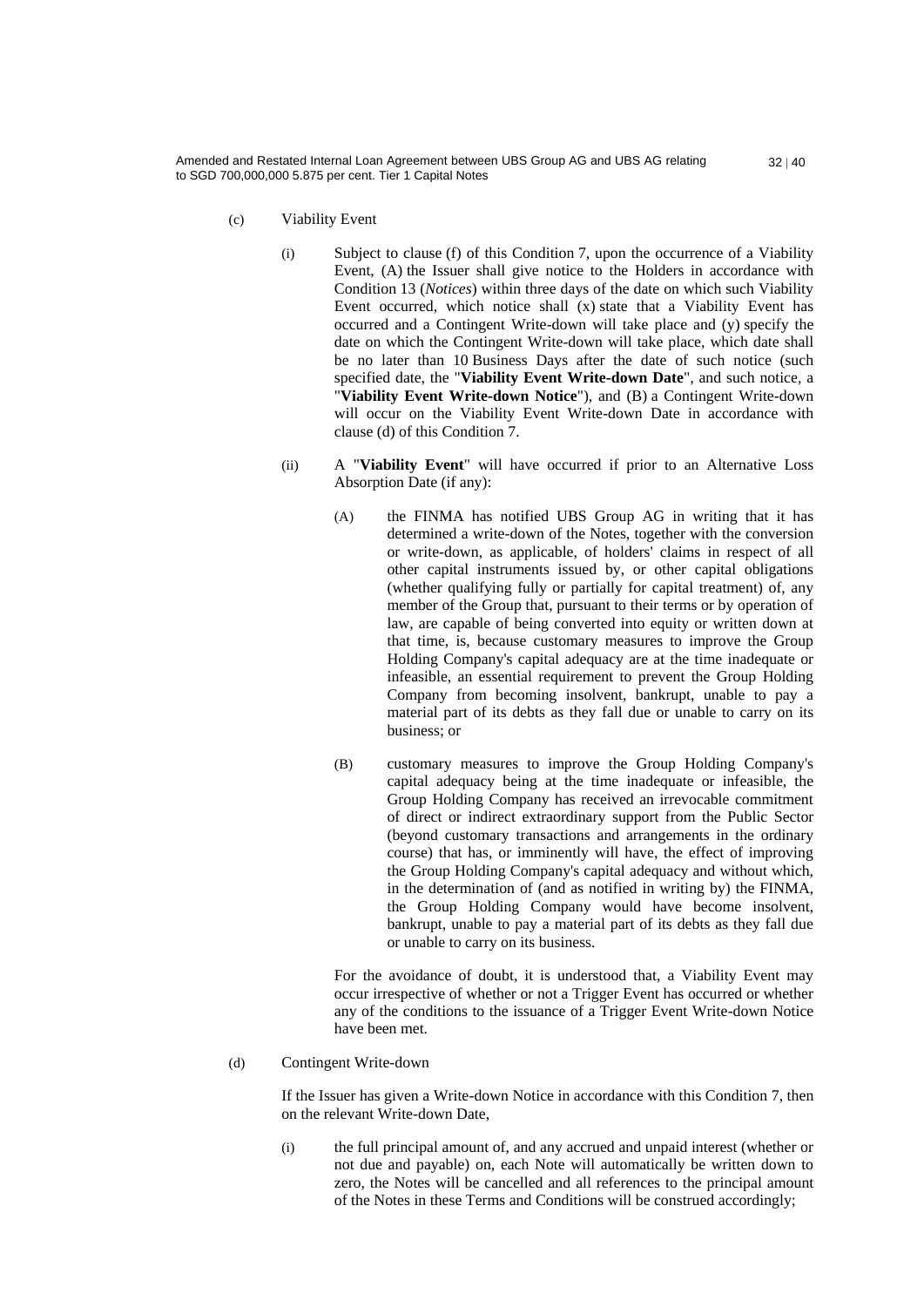- (c) Viability Event
	- (i) Subject to clause (f) of this Condition 7, upon the occurrence of a Viability Event, (A) the Issuer shall give notice to the Holders in accordance with Condition 13 (*Notices*) within three days of the date on which such Viability Event occurred, which notice shall (x) state that a Viability Event has occurred and a Contingent Write-down will take place and (y) specify the date on which the Contingent Write-down will take place, which date shall be no later than 10 Business Days after the date of such notice (such specified date, the "**Viability Event Write-down Date**", and such notice, a "**Viability Event Write-down Notice**"), and (B) a Contingent Write-down will occur on the Viability Event Write-down Date in accordance with clause (d) of this Condition 7.
	- (ii) A "**Viability Event**" will have occurred if prior to an Alternative Loss Absorption Date (if any):
		- (A) the FINMA has notified UBS Group AG in writing that it has determined a write-down of the Notes, together with the conversion or write-down, as applicable, of holders' claims in respect of all other capital instruments issued by, or other capital obligations (whether qualifying fully or partially for capital treatment) of, any member of the Group that, pursuant to their terms or by operation of law, are capable of being converted into equity or written down at that time, is, because customary measures to improve the Group Holding Company's capital adequacy are at the time inadequate or infeasible, an essential requirement to prevent the Group Holding Company from becoming insolvent, bankrupt, unable to pay a material part of its debts as they fall due or unable to carry on its business; or
		- (B) customary measures to improve the Group Holding Company's capital adequacy being at the time inadequate or infeasible, the Group Holding Company has received an irrevocable commitment of direct or indirect extraordinary support from the Public Sector (beyond customary transactions and arrangements in the ordinary course) that has, or imminently will have, the effect of improving the Group Holding Company's capital adequacy and without which, in the determination of (and as notified in writing by) the FINMA, the Group Holding Company would have become insolvent, bankrupt, unable to pay a material part of its debts as they fall due or unable to carry on its business.

For the avoidance of doubt, it is understood that, a Viability Event may occur irrespective of whether or not a Trigger Event has occurred or whether any of the conditions to the issuance of a Trigger Event Write-down Notice have been met.

#### (d) Contingent Write-down

If the Issuer has given a Write-down Notice in accordance with this Condition 7, then on the relevant Write-down Date,

(i) the full principal amount of, and any accrued and unpaid interest (whether or not due and payable) on, each Note will automatically be written down to zero, the Notes will be cancelled and all references to the principal amount of the Notes in these Terms and Conditions will be construed accordingly;

 $32 | 40$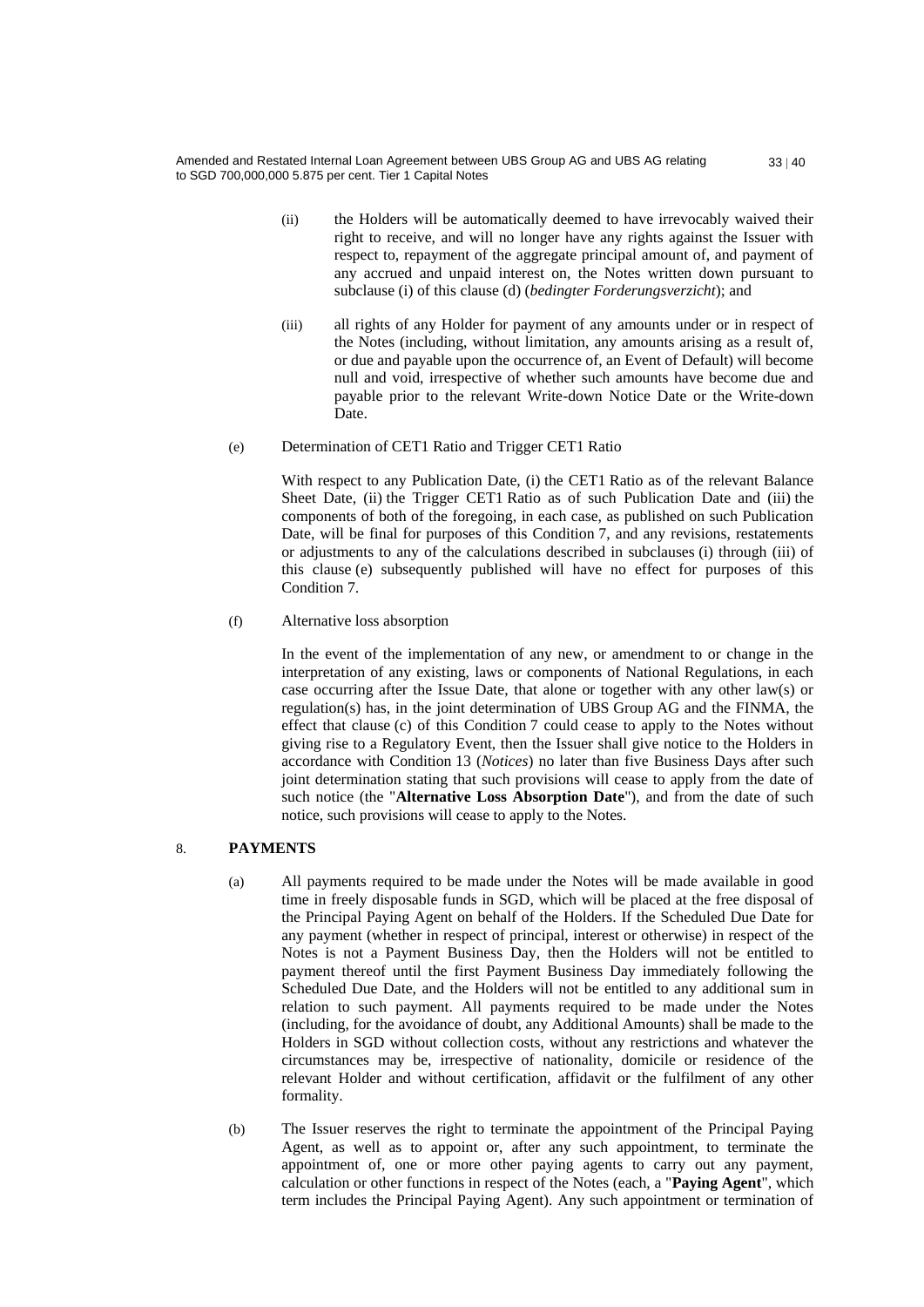- (ii) the Holders will be automatically deemed to have irrevocably waived their right to receive, and will no longer have any rights against the Issuer with respect to, repayment of the aggregate principal amount of, and payment of any accrued and unpaid interest on, the Notes written down pursuant to subclause (i) of this clause (d) (*bedingter Forderungsverzicht*); and
- (iii) all rights of any Holder for payment of any amounts under or in respect of the Notes (including, without limitation, any amounts arising as a result of, or due and payable upon the occurrence of, an Event of Default) will become null and void, irrespective of whether such amounts have become due and payable prior to the relevant Write-down Notice Date or the Write-down Date.
- (e) Determination of CET1 Ratio and Trigger CET1 Ratio

With respect to any Publication Date, (i) the CET1 Ratio as of the relevant Balance Sheet Date, (ii) the Trigger CET1 Ratio as of such Publication Date and (iii) the components of both of the foregoing, in each case, as published on such Publication Date, will be final for purposes of this Condition 7, and any revisions, restatements or adjustments to any of the calculations described in subclauses (i) through (iii) of this clause (e) subsequently published will have no effect for purposes of this Condition 7.

(f) Alternative loss absorption

In the event of the implementation of any new, or amendment to or change in the interpretation of any existing, laws or components of National Regulations, in each case occurring after the Issue Date, that alone or together with any other law(s) or regulation(s) has, in the joint determination of UBS Group AG and the FINMA, the effect that clause (c) of this Condition 7 could cease to apply to the Notes without giving rise to a Regulatory Event, then the Issuer shall give notice to the Holders in accordance with Condition 13 (*Notices*) no later than five Business Days after such joint determination stating that such provisions will cease to apply from the date of such notice (the "**Alternative Loss Absorption Date**"), and from the date of such notice, such provisions will cease to apply to the Notes.

# 8. **PAYMENTS**

- (a) All payments required to be made under the Notes will be made available in good time in freely disposable funds in SGD, which will be placed at the free disposal of the Principal Paying Agent on behalf of the Holders. If the Scheduled Due Date for any payment (whether in respect of principal, interest or otherwise) in respect of the Notes is not a Payment Business Day, then the Holders will not be entitled to payment thereof until the first Payment Business Day immediately following the Scheduled Due Date, and the Holders will not be entitled to any additional sum in relation to such payment. All payments required to be made under the Notes (including, for the avoidance of doubt, any Additional Amounts) shall be made to the Holders in SGD without collection costs, without any restrictions and whatever the circumstances may be, irrespective of nationality, domicile or residence of the relevant Holder and without certification, affidavit or the fulfilment of any other formality.
- (b) The Issuer reserves the right to terminate the appointment of the Principal Paying Agent, as well as to appoint or, after any such appointment, to terminate the appointment of, one or more other paying agents to carry out any payment, calculation or other functions in respect of the Notes (each, a "**Paying Agent**", which term includes the Principal Paying Agent). Any such appointment or termination of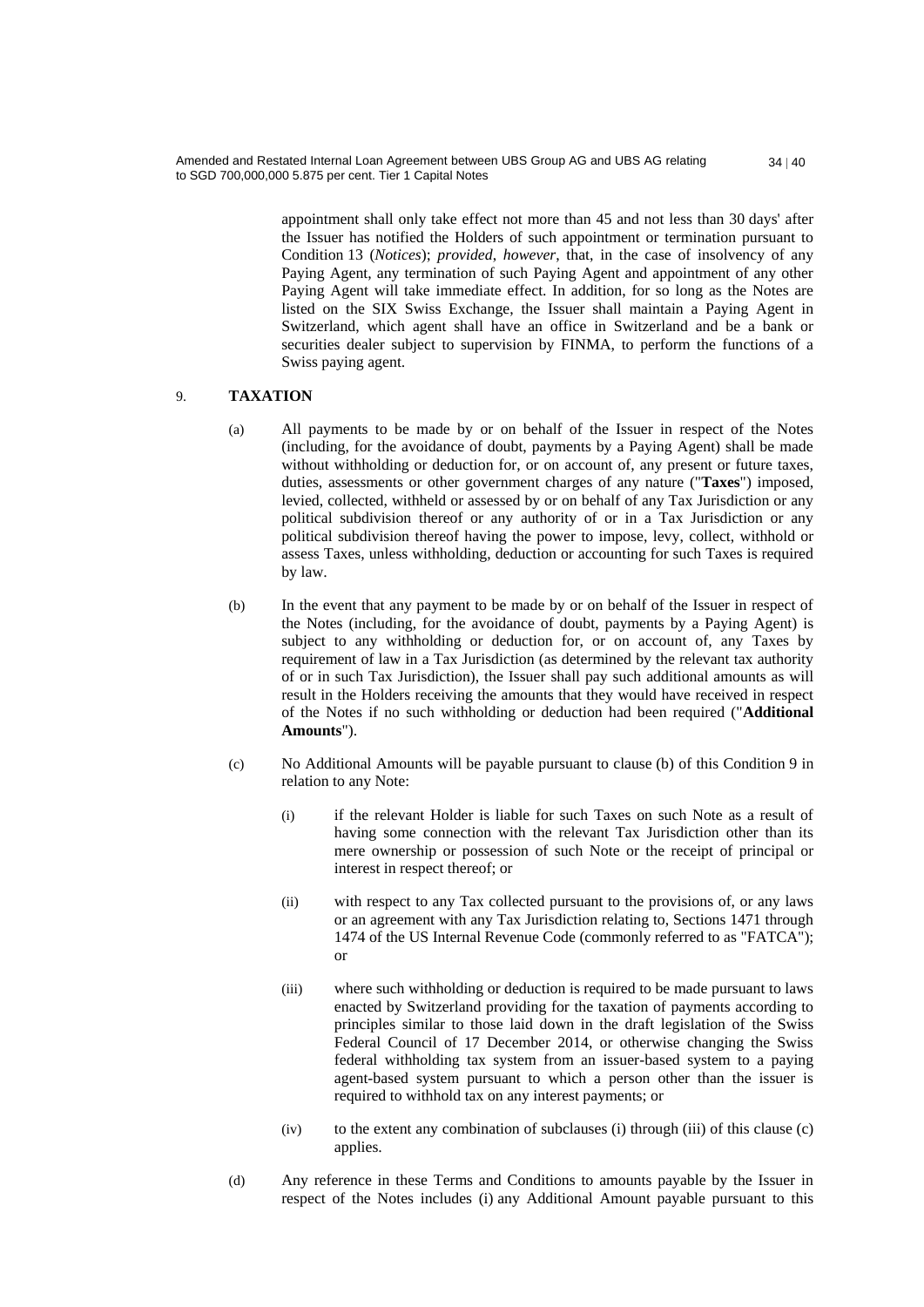> appointment shall only take effect not more than 45 and not less than 30 days' after the Issuer has notified the Holders of such appointment or termination pursuant to Condition 13 (*Notices*); *provided*, *however*, that, in the case of insolvency of any Paying Agent, any termination of such Paying Agent and appointment of any other Paying Agent will take immediate effect. In addition, for so long as the Notes are listed on the SIX Swiss Exchange, the Issuer shall maintain a Paying Agent in Switzerland, which agent shall have an office in Switzerland and be a bank or securities dealer subject to supervision by FINMA, to perform the functions of a Swiss paying agent.

#### 9. **TAXATION**

- (a) All payments to be made by or on behalf of the Issuer in respect of the Notes (including, for the avoidance of doubt, payments by a Paying Agent) shall be made without withholding or deduction for, or on account of, any present or future taxes, duties, assessments or other government charges of any nature ("**Taxes**") imposed, levied, collected, withheld or assessed by or on behalf of any Tax Jurisdiction or any political subdivision thereof or any authority of or in a Tax Jurisdiction or any political subdivision thereof having the power to impose, levy, collect, withhold or assess Taxes, unless withholding, deduction or accounting for such Taxes is required by law.
- (b) In the event that any payment to be made by or on behalf of the Issuer in respect of the Notes (including, for the avoidance of doubt, payments by a Paying Agent) is subject to any withholding or deduction for, or on account of, any Taxes by requirement of law in a Tax Jurisdiction (as determined by the relevant tax authority of or in such Tax Jurisdiction), the Issuer shall pay such additional amounts as will result in the Holders receiving the amounts that they would have received in respect of the Notes if no such withholding or deduction had been required ("**Additional Amounts**").
- (c) No Additional Amounts will be payable pursuant to clause (b) of this Condition 9 in relation to any Note:
	- (i) if the relevant Holder is liable for such Taxes on such Note as a result of having some connection with the relevant Tax Jurisdiction other than its mere ownership or possession of such Note or the receipt of principal or interest in respect thereof; or
	- (ii) with respect to any Tax collected pursuant to the provisions of, or any laws or an agreement with any Tax Jurisdiction relating to, Sections 1471 through 1474 of the US Internal Revenue Code (commonly referred to as "FATCA"); or
	- (iii) where such withholding or deduction is required to be made pursuant to laws enacted by Switzerland providing for the taxation of payments according to principles similar to those laid down in the draft legislation of the Swiss Federal Council of 17 December 2014, or otherwise changing the Swiss federal withholding tax system from an issuer-based system to a paying agent-based system pursuant to which a person other than the issuer is required to withhold tax on any interest payments; or
	- (iv) to the extent any combination of subclauses (i) through (iii) of this clause (c) applies.
- (d) Any reference in these Terms and Conditions to amounts payable by the Issuer in respect of the Notes includes (i) any Additional Amount payable pursuant to this

 $34 | 40$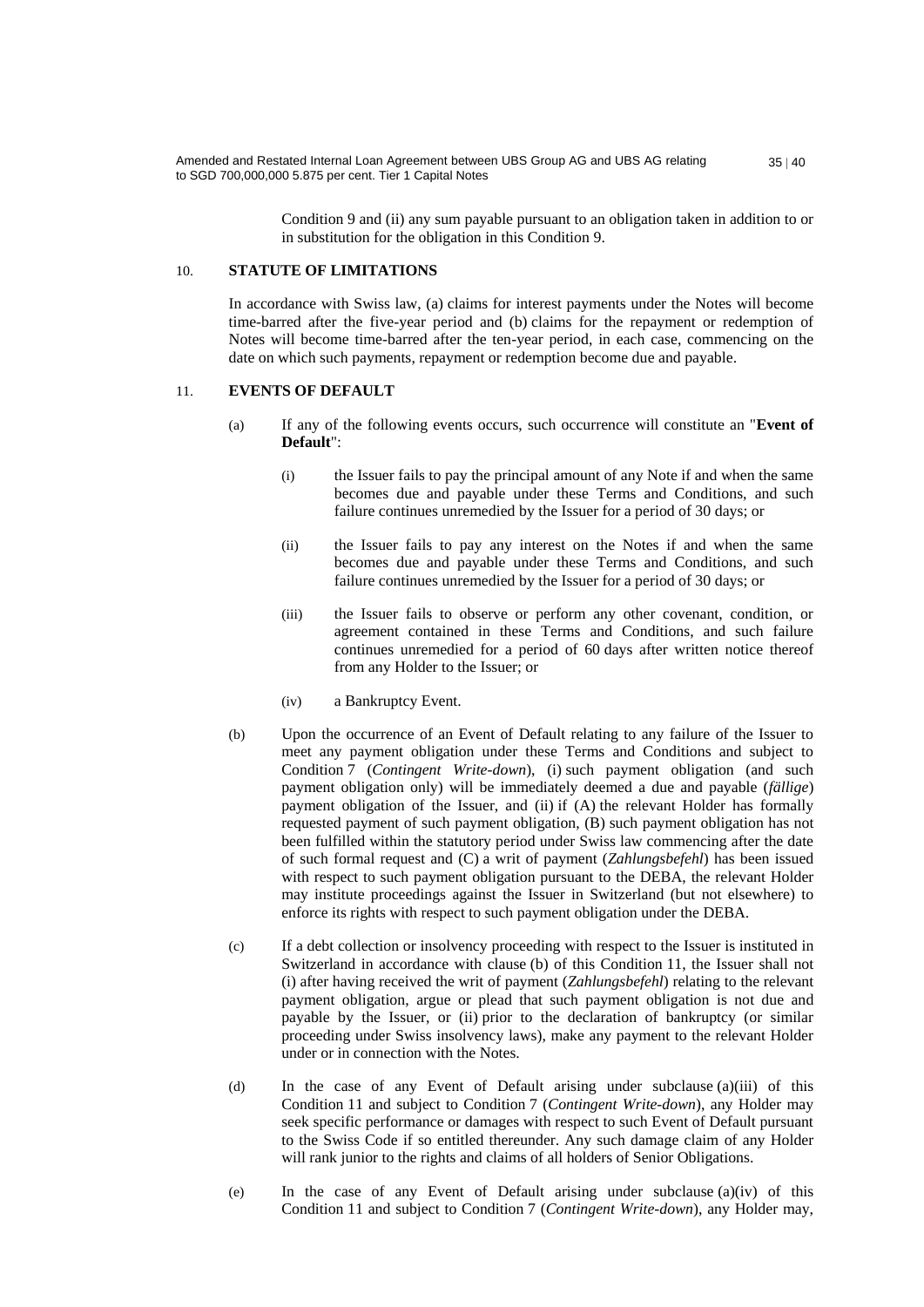> Condition 9 and (ii) any sum payable pursuant to an obligation taken in addition to or in substitution for the obligation in this Condition 9.

#### 10. **STATUTE OF LIMITATIONS**

In accordance with Swiss law, (a) claims for interest payments under the Notes will become time-barred after the five-year period and (b) claims for the repayment or redemption of Notes will become time-barred after the ten-year period, in each case, commencing on the date on which such payments, repayment or redemption become due and payable.

#### 11. **EVENTS OF DEFAULT**

- (a) If any of the following events occurs, such occurrence will constitute an "**Event of Default**":
	- (i) the Issuer fails to pay the principal amount of any Note if and when the same becomes due and payable under these Terms and Conditions, and such failure continues unremedied by the Issuer for a period of 30 days; or
	- (ii) the Issuer fails to pay any interest on the Notes if and when the same becomes due and payable under these Terms and Conditions, and such failure continues unremedied by the Issuer for a period of 30 days; or
	- (iii) the Issuer fails to observe or perform any other covenant, condition, or agreement contained in these Terms and Conditions, and such failure continues unremedied for a period of 60 days after written notice thereof from any Holder to the Issuer; or
	- (iv) a Bankruptcy Event.
- (b) Upon the occurrence of an Event of Default relating to any failure of the Issuer to meet any payment obligation under these Terms and Conditions and subject to Condition 7 (*Contingent Write-down*), (i) such payment obligation (and such payment obligation only) will be immediately deemed a due and payable (*fällige*) payment obligation of the Issuer, and (ii) if (A) the relevant Holder has formally requested payment of such payment obligation, (B) such payment obligation has not been fulfilled within the statutory period under Swiss law commencing after the date of such formal request and (C) a writ of payment (*Zahlungsbefehl*) has been issued with respect to such payment obligation pursuant to the DEBA, the relevant Holder may institute proceedings against the Issuer in Switzerland (but not elsewhere) to enforce its rights with respect to such payment obligation under the DEBA.
- (c) If a debt collection or insolvency proceeding with respect to the Issuer is instituted in Switzerland in accordance with clause (b) of this Condition 11, the Issuer shall not (i) after having received the writ of payment (*Zahlungsbefehl*) relating to the relevant payment obligation, argue or plead that such payment obligation is not due and payable by the Issuer, or (ii) prior to the declaration of bankruptcy (or similar proceeding under Swiss insolvency laws), make any payment to the relevant Holder under or in connection with the Notes.
- (d) In the case of any Event of Default arising under subclause (a)(iii) of this Condition 11 and subject to Condition 7 (*Contingent Write-down*), any Holder may seek specific performance or damages with respect to such Event of Default pursuant to the Swiss Code if so entitled thereunder. Any such damage claim of any Holder will rank junior to the rights and claims of all holders of Senior Obligations.
- (e) In the case of any Event of Default arising under subclause (a)(iv) of this Condition 11 and subject to Condition 7 (*Contingent Write-down*), any Holder may,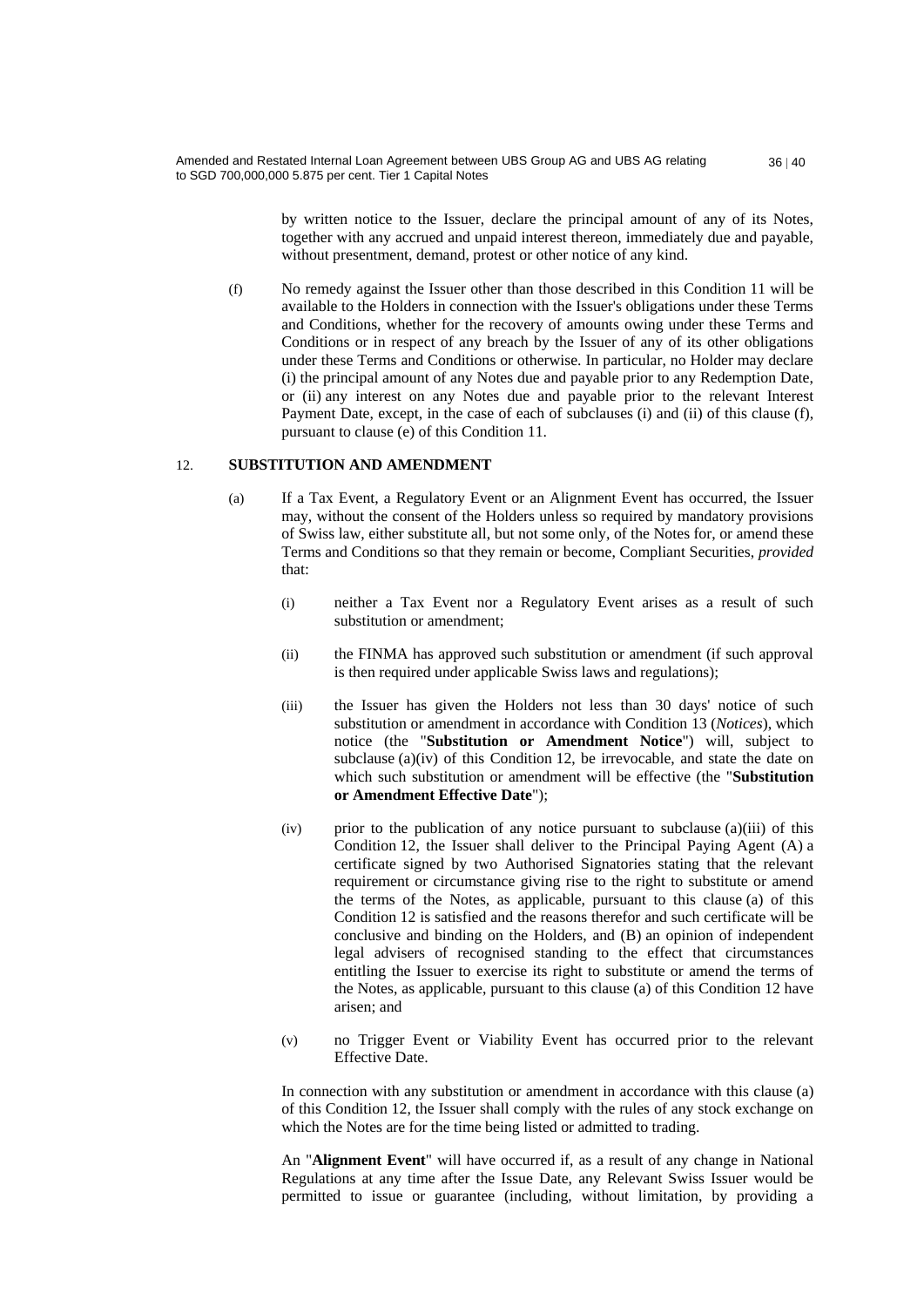> by written notice to the Issuer, declare the principal amount of any of its Notes, together with any accrued and unpaid interest thereon, immediately due and payable, without presentment, demand, protest or other notice of any kind.

(f) No remedy against the Issuer other than those described in this Condition 11 will be available to the Holders in connection with the Issuer's obligations under these Terms and Conditions, whether for the recovery of amounts owing under these Terms and Conditions or in respect of any breach by the Issuer of any of its other obligations under these Terms and Conditions or otherwise. In particular, no Holder may declare (i) the principal amount of any Notes due and payable prior to any Redemption Date, or (ii) any interest on any Notes due and payable prior to the relevant Interest Payment Date, except, in the case of each of subclauses (i) and (ii) of this clause (f), pursuant to clause (e) of this Condition 11.

#### 12. **SUBSTITUTION AND AMENDMENT**

- (a) If a Tax Event, a Regulatory Event or an Alignment Event has occurred, the Issuer may, without the consent of the Holders unless so required by mandatory provisions of Swiss law, either substitute all, but not some only, of the Notes for, or amend these Terms and Conditions so that they remain or become, Compliant Securities, *provided* that:
	- (i) neither a Tax Event nor a Regulatory Event arises as a result of such substitution or amendment;
	- (ii) the FINMA has approved such substitution or amendment (if such approval is then required under applicable Swiss laws and regulations);
	- (iii) the Issuer has given the Holders not less than 30 days' notice of such substitution or amendment in accordance with Condition 13 (*Notices*), which notice (the "**Substitution or Amendment Notice**") will, subject to subclause (a)(iv) of this Condition 12, be irrevocable, and state the date on which such substitution or amendment will be effective (the "**Substitution or Amendment Effective Date**");
	- (iv) prior to the publication of any notice pursuant to subclause (a)(iii) of this Condition 12, the Issuer shall deliver to the Principal Paying Agent (A) a certificate signed by two Authorised Signatories stating that the relevant requirement or circumstance giving rise to the right to substitute or amend the terms of the Notes, as applicable, pursuant to this clause (a) of this Condition 12 is satisfied and the reasons therefor and such certificate will be conclusive and binding on the Holders, and (B) an opinion of independent legal advisers of recognised standing to the effect that circumstances entitling the Issuer to exercise its right to substitute or amend the terms of the Notes, as applicable, pursuant to this clause (a) of this Condition 12 have arisen; and
	- (v) no Trigger Event or Viability Event has occurred prior to the relevant Effective Date.

In connection with any substitution or amendment in accordance with this clause (a) of this Condition 12, the Issuer shall comply with the rules of any stock exchange on which the Notes are for the time being listed or admitted to trading.

An "**Alignment Event**" will have occurred if, as a result of any change in National Regulations at any time after the Issue Date, any Relevant Swiss Issuer would be permitted to issue or guarantee (including, without limitation, by providing a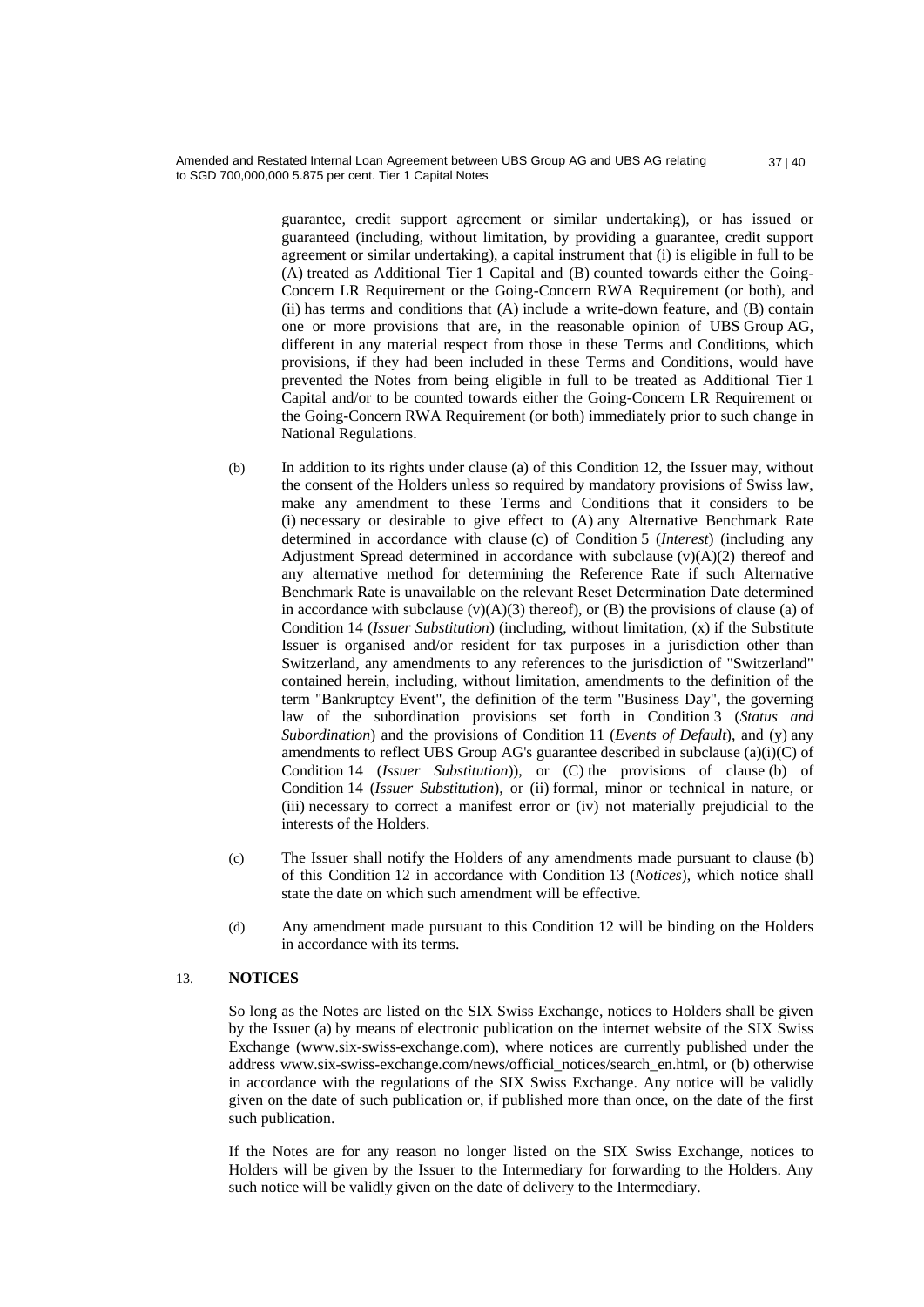> guarantee, credit support agreement or similar undertaking), or has issued or guaranteed (including, without limitation, by providing a guarantee, credit support agreement or similar undertaking), a capital instrument that (i) is eligible in full to be (A) treated as Additional Tier 1 Capital and (B) counted towards either the Going-Concern LR Requirement or the Going-Concern RWA Requirement (or both), and (ii) has terms and conditions that (A) include a write-down feature, and (B) contain one or more provisions that are, in the reasonable opinion of UBS Group AG, different in any material respect from those in these Terms and Conditions, which provisions, if they had been included in these Terms and Conditions, would have prevented the Notes from being eligible in full to be treated as Additional Tier 1 Capital and/or to be counted towards either the Going-Concern LR Requirement or the Going-Concern RWA Requirement (or both) immediately prior to such change in National Regulations.

- (b) In addition to its rights under clause (a) of this Condition 12, the Issuer may, without the consent of the Holders unless so required by mandatory provisions of Swiss law, make any amendment to these Terms and Conditions that it considers to be (i) necessary or desirable to give effect to (A) any Alternative Benchmark Rate determined in accordance with clause (c) of Condition 5 (*Interest*) (including any Adjustment Spread determined in accordance with subclause  $(v)(A)(2)$  thereof and any alternative method for determining the Reference Rate if such Alternative Benchmark Rate is unavailable on the relevant Reset Determination Date determined in accordance with subclause  $(v)(A)(3)$  thereof), or  $(B)$  the provisions of clause (a) of Condition 14 (*Issuer Substitution*) (including, without limitation, (x) if the Substitute Issuer is organised and/or resident for tax purposes in a jurisdiction other than Switzerland, any amendments to any references to the jurisdiction of "Switzerland" contained herein, including, without limitation, amendments to the definition of the term "Bankruptcy Event", the definition of the term "Business Day", the governing law of the subordination provisions set forth in Condition 3 (*Status and Subordination*) and the provisions of Condition 11 (*Events of Default*), and (y) any amendments to reflect UBS Group AG's guarantee described in subclause (a)(i)(C) of Condition 14 (*Issuer Substitution*)), or (C) the provisions of clause (b) of Condition 14 (*Issuer Substitution*), or (ii) formal, minor or technical in nature, or (iii) necessary to correct a manifest error or (iv) not materially prejudicial to the interests of the Holders.
- (c) The Issuer shall notify the Holders of any amendments made pursuant to clause (b) of this Condition 12 in accordance with Condition 13 (*Notices*), which notice shall state the date on which such amendment will be effective.
- (d) Any amendment made pursuant to this Condition 12 will be binding on the Holders in accordance with its terms.

#### 13. **NOTICES**

So long as the Notes are listed on the SIX Swiss Exchange, notices to Holders shall be given by the Issuer (a) by means of electronic publication on the internet website of the SIX Swiss Exchange (www.six-swiss-exchange.com), where notices are currently published under the address www.six-swiss-exchange.com/news/official\_notices/search\_en.html, or (b) otherwise in accordance with the regulations of the SIX Swiss Exchange. Any notice will be validly given on the date of such publication or, if published more than once, on the date of the first such publication.

If the Notes are for any reason no longer listed on the SIX Swiss Exchange, notices to Holders will be given by the Issuer to the Intermediary for forwarding to the Holders. Any such notice will be validly given on the date of delivery to the Intermediary.

 $37 | 40$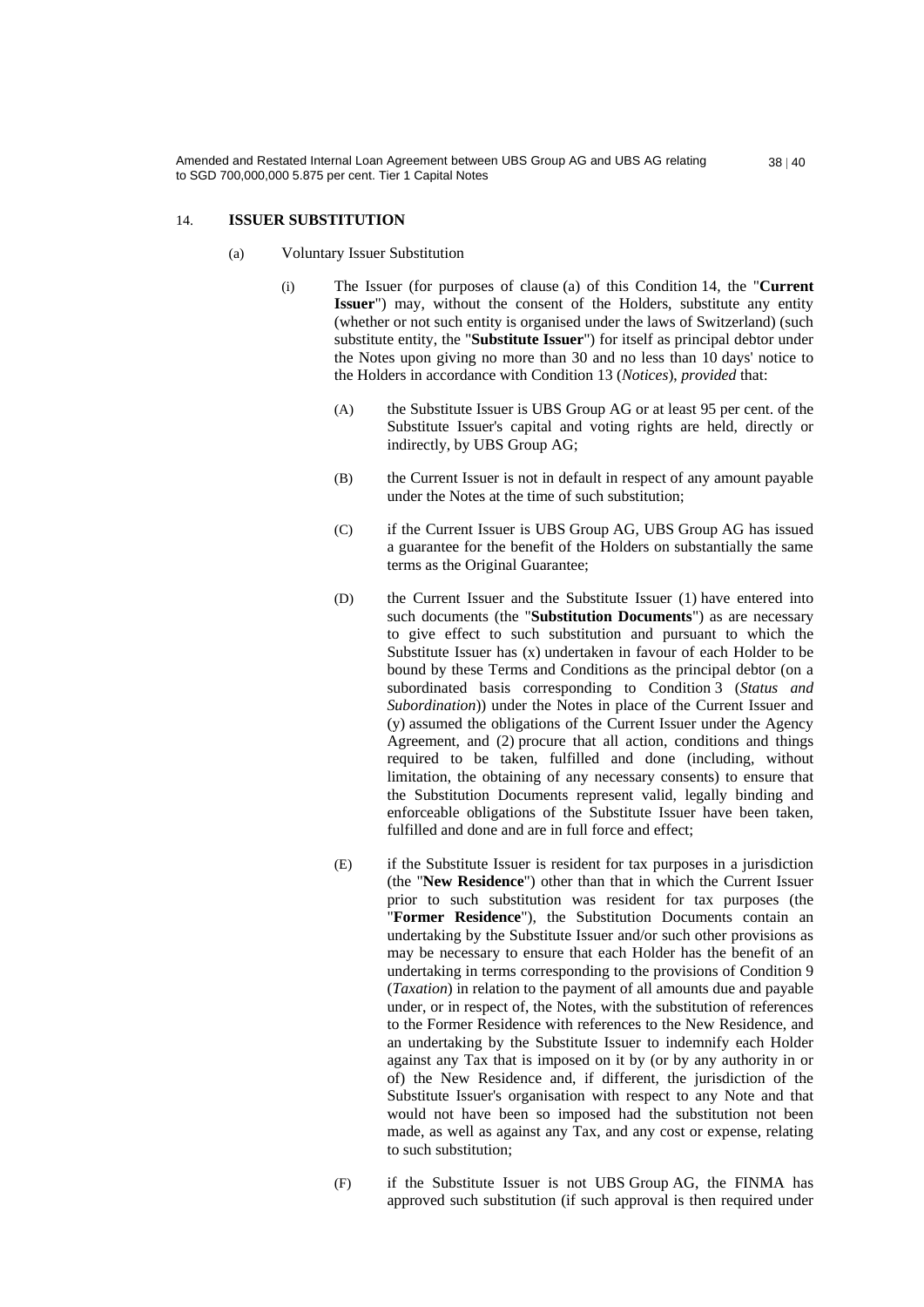### 14. **ISSUER SUBSTITUTION**

- (a) Voluntary Issuer Substitution
	- (i) The Issuer (for purposes of clause (a) of this Condition 14, the "**Current Issuer**") may, without the consent of the Holders, substitute any entity (whether or not such entity is organised under the laws of Switzerland) (such substitute entity, the "**Substitute Issuer**") for itself as principal debtor under the Notes upon giving no more than 30 and no less than 10 days' notice to the Holders in accordance with Condition 13 (*Notices*), *provided* that:
		- (A) the Substitute Issuer is UBS Group AG or at least 95 per cent. of the Substitute Issuer's capital and voting rights are held, directly or indirectly, by UBS Group AG;
		- (B) the Current Issuer is not in default in respect of any amount payable under the Notes at the time of such substitution;
		- (C) if the Current Issuer is UBS Group AG, UBS Group AG has issued a guarantee for the benefit of the Holders on substantially the same terms as the Original Guarantee;
		- (D) the Current Issuer and the Substitute Issuer (1) have entered into such documents (the "**Substitution Documents**") as are necessary to give effect to such substitution and pursuant to which the Substitute Issuer has (x) undertaken in favour of each Holder to be bound by these Terms and Conditions as the principal debtor (on a subordinated basis corresponding to Condition 3 (*Status and Subordination*)) under the Notes in place of the Current Issuer and (y) assumed the obligations of the Current Issuer under the Agency Agreement, and (2) procure that all action, conditions and things required to be taken, fulfilled and done (including, without limitation, the obtaining of any necessary consents) to ensure that the Substitution Documents represent valid, legally binding and enforceable obligations of the Substitute Issuer have been taken, fulfilled and done and are in full force and effect;
		- (E) if the Substitute Issuer is resident for tax purposes in a jurisdiction (the "**New Residence**") other than that in which the Current Issuer prior to such substitution was resident for tax purposes (the "**Former Residence**"), the Substitution Documents contain an undertaking by the Substitute Issuer and/or such other provisions as may be necessary to ensure that each Holder has the benefit of an undertaking in terms corresponding to the provisions of Condition 9 (*Taxation*) in relation to the payment of all amounts due and payable under, or in respect of, the Notes, with the substitution of references to the Former Residence with references to the New Residence, and an undertaking by the Substitute Issuer to indemnify each Holder against any Tax that is imposed on it by (or by any authority in or of) the New Residence and, if different, the jurisdiction of the Substitute Issuer's organisation with respect to any Note and that would not have been so imposed had the substitution not been made, as well as against any Tax, and any cost or expense, relating to such substitution;
		- (F) if the Substitute Issuer is not UBS Group AG, the FINMA has approved such substitution (if such approval is then required under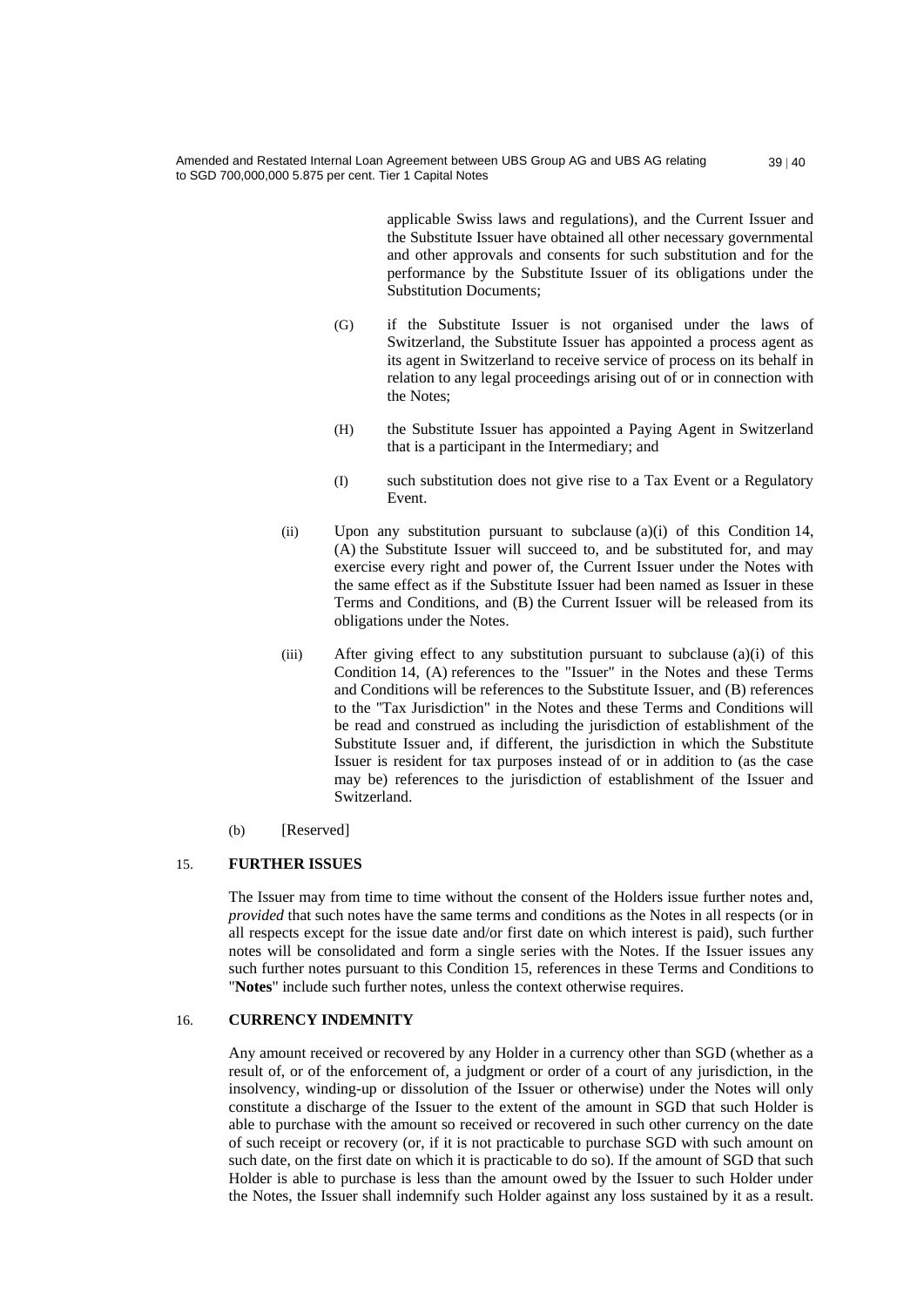applicable Swiss laws and regulations), and the Current Issuer and the Substitute Issuer have obtained all other necessary governmental and other approvals and consents for such substitution and for the performance by the Substitute Issuer of its obligations under the Substitution Documents;

- (G) if the Substitute Issuer is not organised under the laws of Switzerland, the Substitute Issuer has appointed a process agent as its agent in Switzerland to receive service of process on its behalf in relation to any legal proceedings arising out of or in connection with the Notes;
- (H) the Substitute Issuer has appointed a Paying Agent in Switzerland that is a participant in the Intermediary; and
- (I) such substitution does not give rise to a Tax Event or a Regulatory Event.
- (ii) Upon any substitution pursuant to subclause (a)(i) of this Condition 14, (A) the Substitute Issuer will succeed to, and be substituted for, and may exercise every right and power of, the Current Issuer under the Notes with the same effect as if the Substitute Issuer had been named as Issuer in these Terms and Conditions, and (B) the Current Issuer will be released from its obligations under the Notes.
- (iii) After giving effect to any substitution pursuant to subclause (a)(i) of this Condition 14, (A) references to the "Issuer" in the Notes and these Terms and Conditions will be references to the Substitute Issuer, and (B) references to the "Tax Jurisdiction" in the Notes and these Terms and Conditions will be read and construed as including the jurisdiction of establishment of the Substitute Issuer and, if different, the jurisdiction in which the Substitute Issuer is resident for tax purposes instead of or in addition to (as the case may be) references to the jurisdiction of establishment of the Issuer and Switzerland.
- (b) [Reserved]

# 15. **FURTHER ISSUES**

The Issuer may from time to time without the consent of the Holders issue further notes and, *provided* that such notes have the same terms and conditions as the Notes in all respects (or in all respects except for the issue date and/or first date on which interest is paid), such further notes will be consolidated and form a single series with the Notes. If the Issuer issues any such further notes pursuant to this Condition 15, references in these Terms and Conditions to "**Notes**" include such further notes, unless the context otherwise requires.

# 16. **CURRENCY INDEMNITY**

Any amount received or recovered by any Holder in a currency other than SGD (whether as a result of, or of the enforcement of, a judgment or order of a court of any jurisdiction, in the insolvency, winding-up or dissolution of the Issuer or otherwise) under the Notes will only constitute a discharge of the Issuer to the extent of the amount in SGD that such Holder is able to purchase with the amount so received or recovered in such other currency on the date of such receipt or recovery (or, if it is not practicable to purchase SGD with such amount on such date, on the first date on which it is practicable to do so). If the amount of SGD that such Holder is able to purchase is less than the amount owed by the Issuer to such Holder under the Notes, the Issuer shall indemnify such Holder against any loss sustained by it as a result.